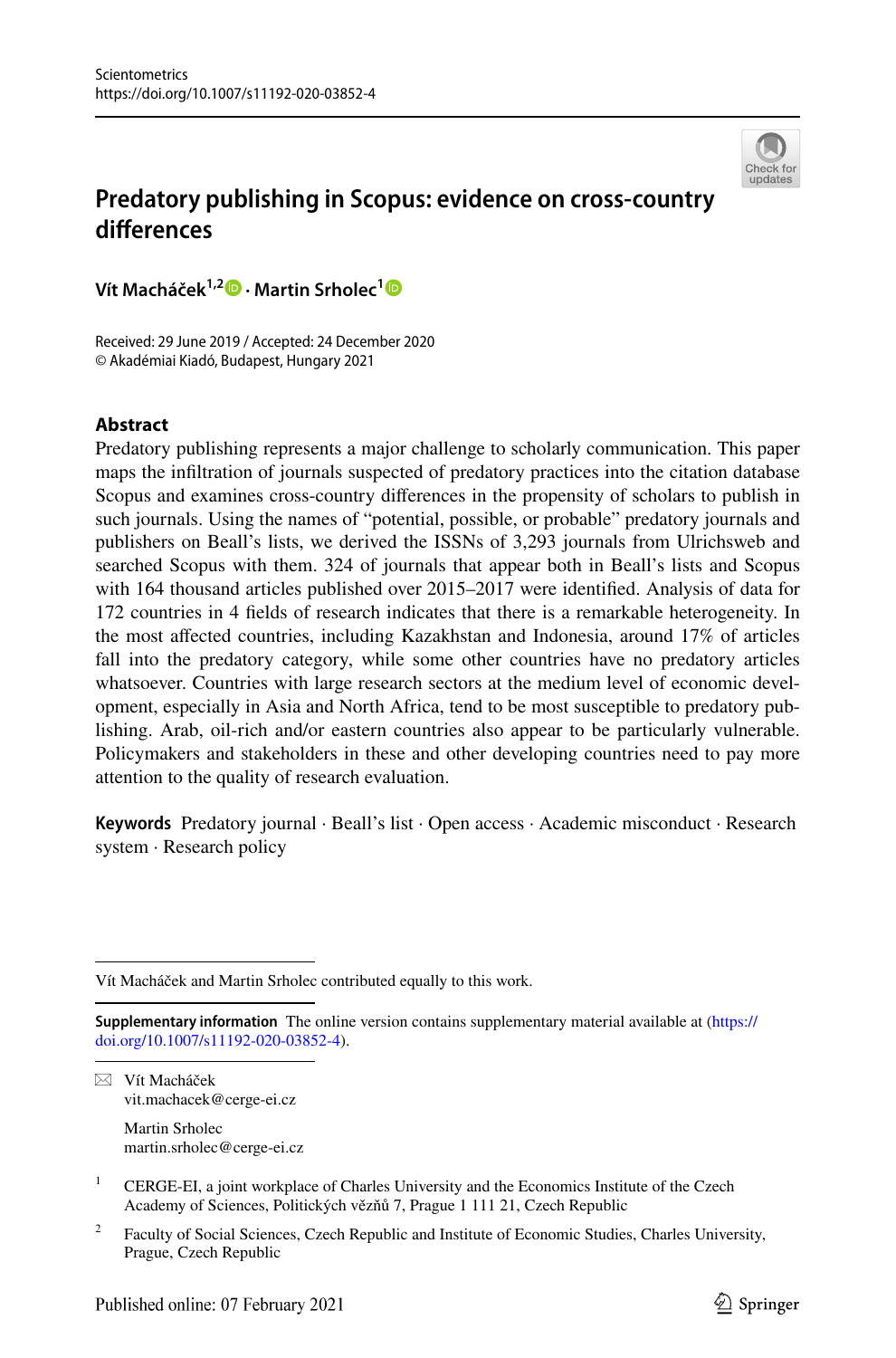

# **Predatory publishing in Scopus: evidence on cross‑country diferences**

**Vít Macháček1,2  [·](http://orcid.org/0000-0001-8578-7807) Martin Srholec[1](http://orcid.org/0000-0001-6115-4116)**

Received: 29 June 2019 / Accepted: 24 December 2020 © Akadémiai Kiadó, Budapest, Hungary 2021

## **Abstract**

Predatory publishing represents a major challenge to scholarly communication. This paper maps the infltration of journals suspected of predatory practices into the citation database Scopus and examines cross-country diferences in the propensity of scholars to publish in such journals. Using the names of "potential, possible, or probable" predatory journals and publishers on Beall's lists, we derived the ISSNs of 3,293 journals from Ulrichsweb and searched Scopus with them. 324 of journals that appear both in Beall's lists and Scopus with 164 thousand articles published over 2015–2017 were identifed. Analysis of data for 172 countries in 4 felds of research indicates that there is a remarkable heterogeneity. In the most afected countries, including Kazakhstan and Indonesia, around 17% of articles fall into the predatory category, while some other countries have no predatory articles whatsoever. Countries with large research sectors at the medium level of economic development, especially in Asia and North Africa, tend to be most susceptible to predatory publishing. Arab, oil-rich and/or eastern countries also appear to be particularly vulnerable. Policymakers and stakeholders in these and other developing countries need to pay more attention to the quality of research evaluation.

**Keywords** Predatory journal · Beall's list · Open access · Academic misconduct · Research system · Research policy

 $\boxtimes$  Vít Macháček vit.machacek@cerge-ei.cz

> Martin Srholec martin.srholec@cerge-ei.cz

<sup>2</sup> Faculty of Social Sciences, Czech Republic and Institute of Economic Studies, Charles University, Prague, Czech Republic

Vít Macháček and Martin Srholec contributed equally to this work.

**Supplementary information** The online version contains supplementary material available at [\(https://](https://doi.org/10.1007/s11192-020-03852-4) [doi.org/10.1007/s11192-020-03852-4](https://doi.org/10.1007/s11192-020-03852-4)).

<sup>&</sup>lt;sup>1</sup> CERGE-EI, a joint workplace of Charles University and the Economics Institute of the Czech Academy of Sciences, Politických vězňů 7, Prague 1 111 21, Czech Republic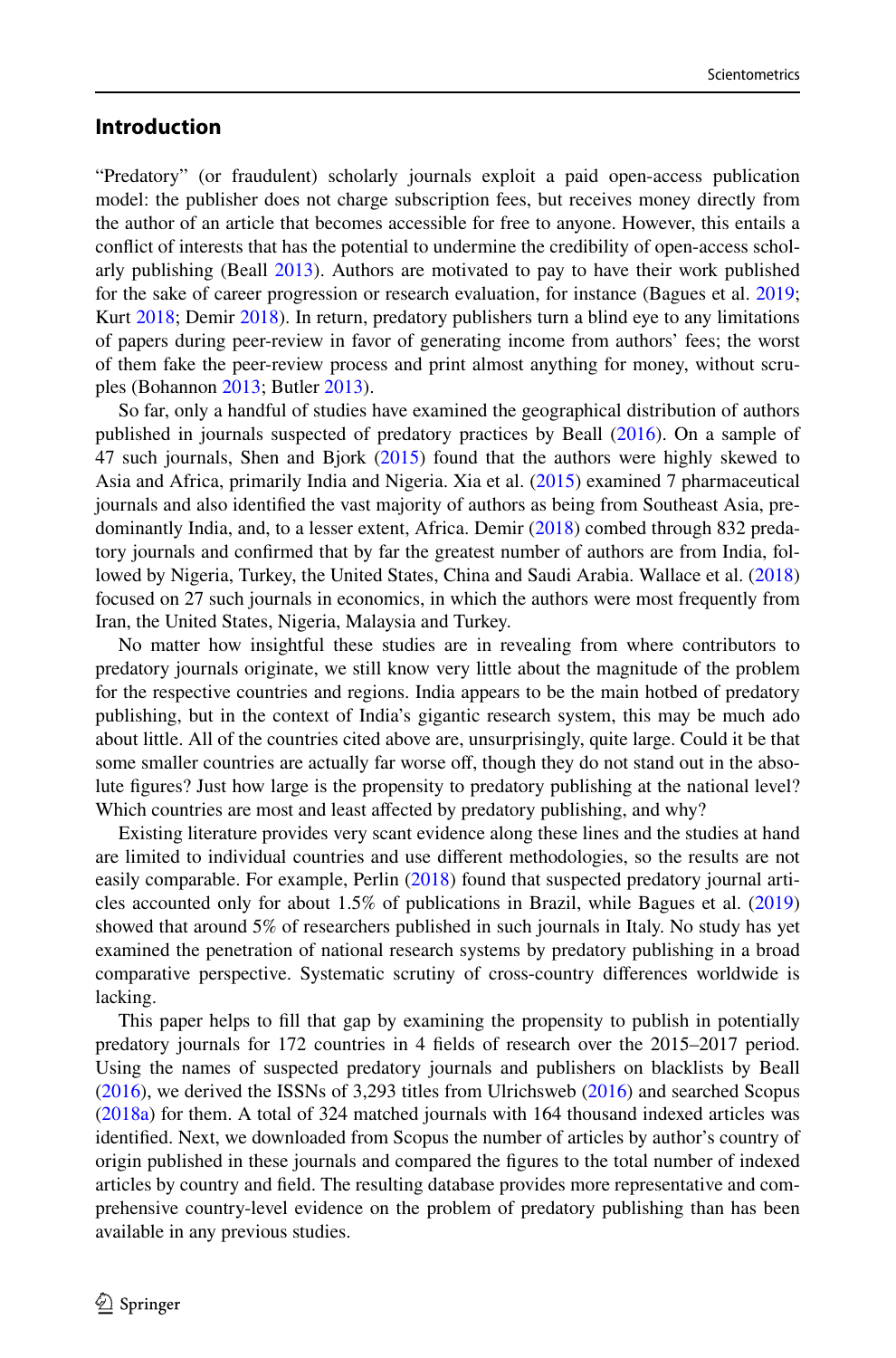## **Introduction**

"Predatory" (or fraudulent) scholarly journals exploit a paid open-access publication model: the publisher does not charge subscription fees, but receives money directly from the author of an article that becomes accessible for free to anyone. However, this entails a confict of interests that has the potential to undermine the credibility of open-access scholarly publishing (Beall [2013\)](#page-23-0). Authors are motivated to pay to have their work published for the sake of career progression or research evaluation, for instance (Bagues et al. [2019;](#page-23-1) Kurt [2018;](#page-23-2) Demir [2018\)](#page-23-3). In return, predatory publishers turn a blind eye to any limitations of papers during peer-review in favor of generating income from authors' fees; the worst of them fake the peer-review process and print almost anything for money, without scruples (Bohannon [2013](#page-23-4); Butler [2013](#page-23-5)).

So far, only a handful of studies have examined the geographical distribution of authors published in journals suspected of predatory practices by Beall ([2016\)](#page-23-6). On a sample of 47 such journals, Shen and Bjork ([2015\)](#page-23-7) found that the authors were highly skewed to Asia and Africa, primarily India and Nigeria. Xia et al. [\(2015](#page-24-0)) examined 7 pharmaceutical journals and also identifed the vast majority of authors as being from Southeast Asia, predominantly India, and, to a lesser extent, Africa. Demir ([2018\)](#page-23-3) combed through 832 predatory journals and confrmed that by far the greatest number of authors are from India, followed by Nigeria, Turkey, the United States, China and Saudi Arabia. Wallace et al. [\(2018](#page-24-1)) focused on 27 such journals in economics, in which the authors were most frequently from Iran, the United States, Nigeria, Malaysia and Turkey.

No matter how insightful these studies are in revealing from where contributors to predatory journals originate, we still know very little about the magnitude of the problem for the respective countries and regions. India appears to be the main hotbed of predatory publishing, but in the context of India's gigantic research system, this may be much ado about little. All of the countries cited above are, unsurprisingly, quite large. Could it be that some smaller countries are actually far worse off, though they do not stand out in the absolute fgures? Just how large is the propensity to predatory publishing at the national level? Which countries are most and least affected by predatory publishing, and why?

Existing literature provides very scant evidence along these lines and the studies at hand are limited to individual countries and use diferent methodologies, so the results are not easily comparable. For example, Perlin ([2018\)](#page-23-8) found that suspected predatory journal articles accounted only for about 1.5% of publications in Brazil, while Bagues et al. [\(2019](#page-23-1)) showed that around 5% of researchers published in such journals in Italy. No study has yet examined the penetration of national research systems by predatory publishing in a broad comparative perspective. Systematic scrutiny of cross-country diferences worldwide is lacking.

This paper helps to fll that gap by examining the propensity to publish in potentially predatory journals for 172 countries in 4 felds of research over the 2015–2017 period. Using the names of suspected predatory journals and publishers on blacklists by Beall ([2016\)](#page-23-6), we derived the ISSNs of 3,293 titles from Ulrichsweb [\(2016](#page-24-2)) and searched Scopus ([2018a](#page-23-9)) for them. A total of 324 matched journals with 164 thousand indexed articles was identifed. Next, we downloaded from Scopus the number of articles by author's country of origin published in these journals and compared the fgures to the total number of indexed articles by country and feld. The resulting database provides more representative and comprehensive country-level evidence on the problem of predatory publishing than has been available in any previous studies.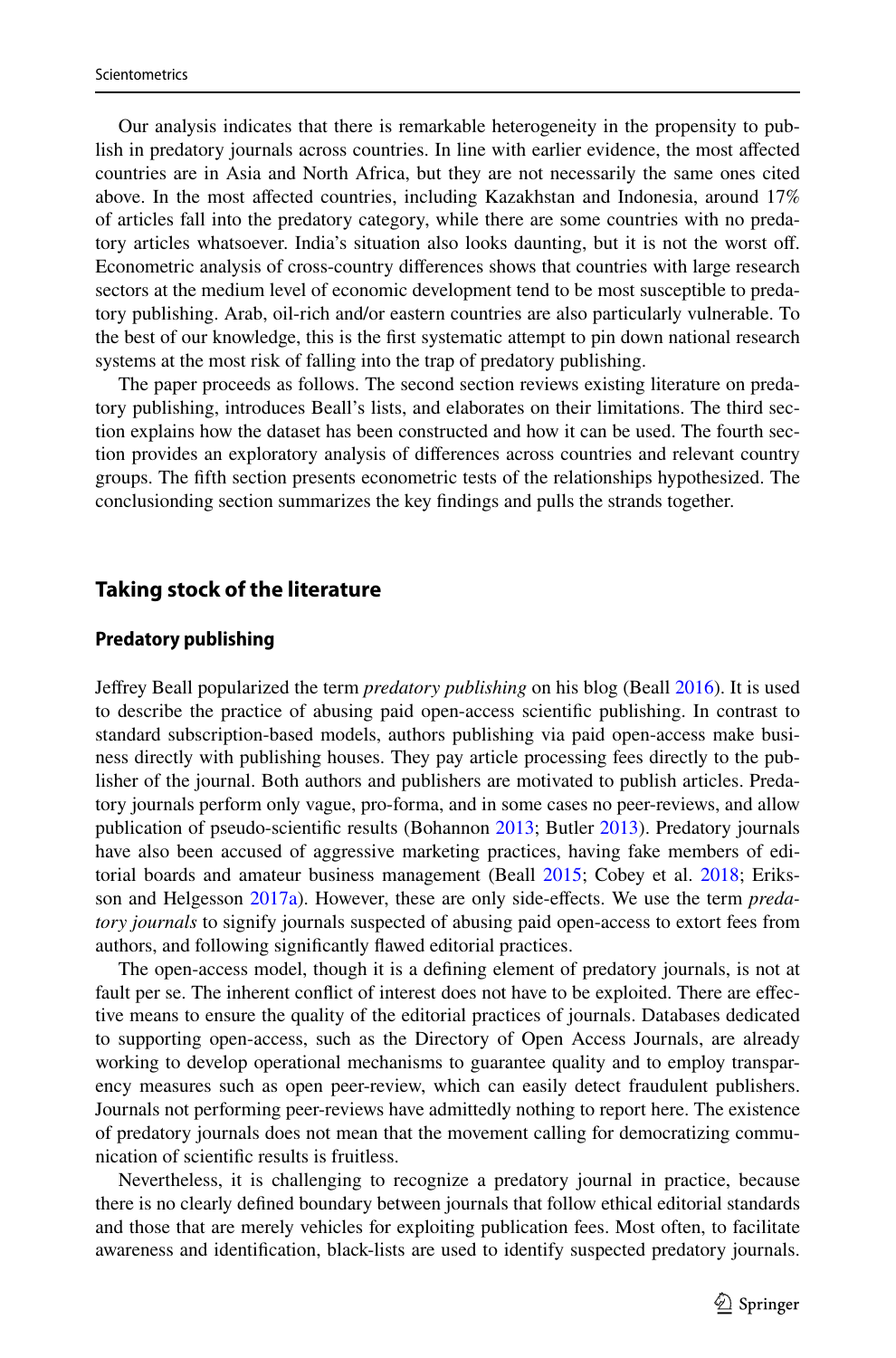Our analysis indicates that there is remarkable heterogeneity in the propensity to publish in predatory journals across countries. In line with earlier evidence, the most afected countries are in Asia and North Africa, but they are not necessarily the same ones cited above. In the most afected countries, including Kazakhstan and Indonesia, around 17% of articles fall into the predatory category, while there are some countries with no predatory articles whatsoever. India's situation also looks daunting, but it is not the worst of. Econometric analysis of cross-country diferences shows that countries with large research sectors at the medium level of economic development tend to be most susceptible to predatory publishing. Arab, oil-rich and/or eastern countries are also particularly vulnerable. To the best of our knowledge, this is the frst systematic attempt to pin down national research systems at the most risk of falling into the trap of predatory publishing.

The paper proceeds as follows. The second section reviews existing literature on predatory publishing, introduces Beall's lists, and elaborates on their limitations. The third section explains how the dataset has been constructed and how it can be used. The fourth section provides an exploratory analysis of diferences across countries and relevant country groups. The ffth section presents econometric tests of the relationships hypothesized. The conclusionding section summarizes the key fndings and pulls the strands together.

## **Taking stock of the literature**

#### **Predatory publishing**

Jefrey Beall popularized the term *predatory publishing* on his blog (Beall [2016](#page-23-6)). It is used to describe the practice of abusing paid open-access scientifc publishing. In contrast to standard subscription-based models, authors publishing via paid open-access make business directly with publishing houses. They pay article processing fees directly to the publisher of the journal. Both authors and publishers are motivated to publish articles. Predatory journals perform only vague, pro-forma, and in some cases no peer-reviews, and allow publication of pseudo-scientifc results (Bohannon [2013](#page-23-4); Butler [2013](#page-23-5)). Predatory journals have also been accused of aggressive marketing practices, having fake members of editorial boards and amateur business management (Beall [2015;](#page-23-10) Cobey et al. [2018;](#page-23-11) Eriksson and Helgesson [2017a\)](#page-23-12). However, these are only side-efects. We use the term *predatory journals* to signify journals suspected of abusing paid open-access to extort fees from authors, and following signifcantly fawed editorial practices.

The open-access model, though it is a defning element of predatory journals, is not at fault per se. The inherent conflict of interest does not have to be exploited. There are effective means to ensure the quality of the editorial practices of journals. Databases dedicated to supporting open-access, such as the Directory of Open Access Journals, are already working to develop operational mechanisms to guarantee quality and to employ transparency measures such as open peer-review, which can easily detect fraudulent publishers. Journals not performing peer-reviews have admittedly nothing to report here. The existence of predatory journals does not mean that the movement calling for democratizing communication of scientifc results is fruitless.

Nevertheless, it is challenging to recognize a predatory journal in practice, because there is no clearly defned boundary between journals that follow ethical editorial standards and those that are merely vehicles for exploiting publication fees. Most often, to facilitate awareness and identifcation, black-lists are used to identify suspected predatory journals.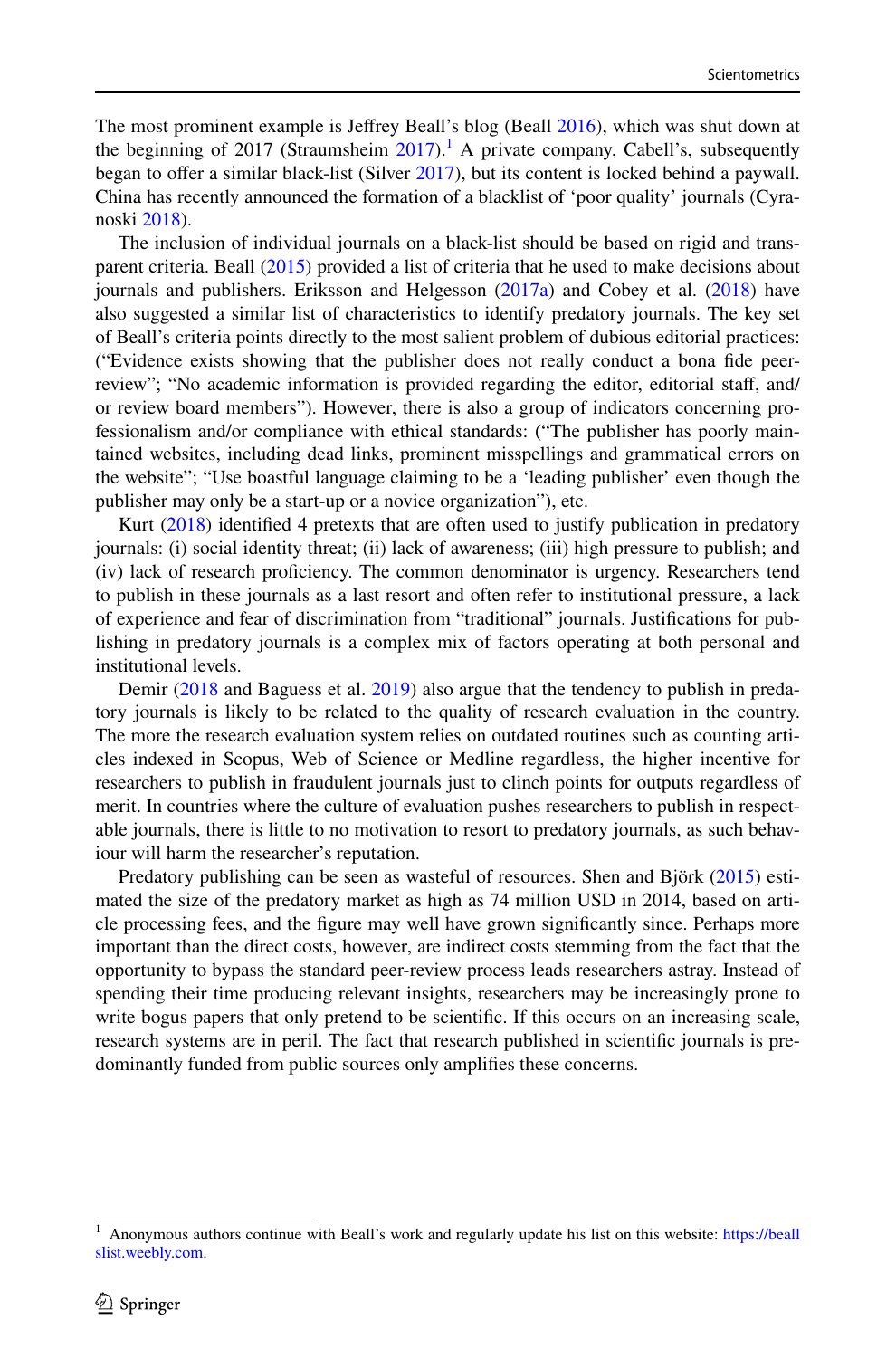The most prominent example is Jefrey Beall's blog (Beall [2016](#page-23-6)), which was shut down at the beginning of [2017](#page-24-3) (Straumsheim  $2017$  $2017$  $2017$ ).<sup>1</sup> A private company, Cabell's, subsequently began to offer a similar black-list (Silver [2017](#page-23-13)), but its content is locked behind a paywall. China has recently announced the formation of a blacklist of 'poor quality' journals (Cyranoski [2018\)](#page-23-14).

The inclusion of individual journals on a black-list should be based on rigid and transparent criteria. Beall ([2015\)](#page-23-10) provided a list of criteria that he used to make decisions about journals and publishers. Eriksson and Helgesson ([2017a](#page-23-12)) and Cobey et al. [\(2018](#page-23-11)) have also suggested a similar list of characteristics to identify predatory journals. The key set of Beall's criteria points directly to the most salient problem of dubious editorial practices: ("Evidence exists showing that the publisher does not really conduct a bona fde peerreview"; "No academic information is provided regarding the editor, editorial staf, and/ or review board members"). However, there is also a group of indicators concerning professionalism and/or compliance with ethical standards: ("The publisher has poorly maintained websites, including dead links, prominent misspellings and grammatical errors on the website"; "Use boastful language claiming to be a 'leading publisher' even though the publisher may only be a start-up or a novice organization"), etc.

Kurt ([2018\)](#page-23-2) identifed 4 pretexts that are often used to justify publication in predatory journals: (i) social identity threat; (ii) lack of awareness; (iii) high pressure to publish; and (iv) lack of research profciency. The common denominator is urgency. Researchers tend to publish in these journals as a last resort and often refer to institutional pressure, a lack of experience and fear of discrimination from "traditional" journals. Justifcations for publishing in predatory journals is a complex mix of factors operating at both personal and institutional levels.

Demir [\(2018](#page-23-3) and Baguess et al. [2019](#page-23-1)) also argue that the tendency to publish in predatory journals is likely to be related to the quality of research evaluation in the country. The more the research evaluation system relies on outdated routines such as counting articles indexed in Scopus, Web of Science or Medline regardless, the higher incentive for researchers to publish in fraudulent journals just to clinch points for outputs regardless of merit. In countries where the culture of evaluation pushes researchers to publish in respectable journals, there is little to no motivation to resort to predatory journals, as such behaviour will harm the researcher's reputation.

Predatory publishing can be seen as wasteful of resources. Shen and Björk [\(2015](#page-23-7)) estimated the size of the predatory market as high as 74 million USD in 2014, based on article processing fees, and the fgure may well have grown signifcantly since. Perhaps more important than the direct costs, however, are indirect costs stemming from the fact that the opportunity to bypass the standard peer-review process leads researchers astray. Instead of spending their time producing relevant insights, researchers may be increasingly prone to write bogus papers that only pretend to be scientific. If this occurs on an increasing scale, research systems are in peril. The fact that research published in scientifc journals is predominantly funded from public sources only amplifes these concerns.

<span id="page-3-0"></span><sup>1</sup> Anonymous authors continue with Beall's work and regularly update his list on this website: [https://beall](https://beallslist.weebly.com) [slist.weebly.com.](https://beallslist.weebly.com)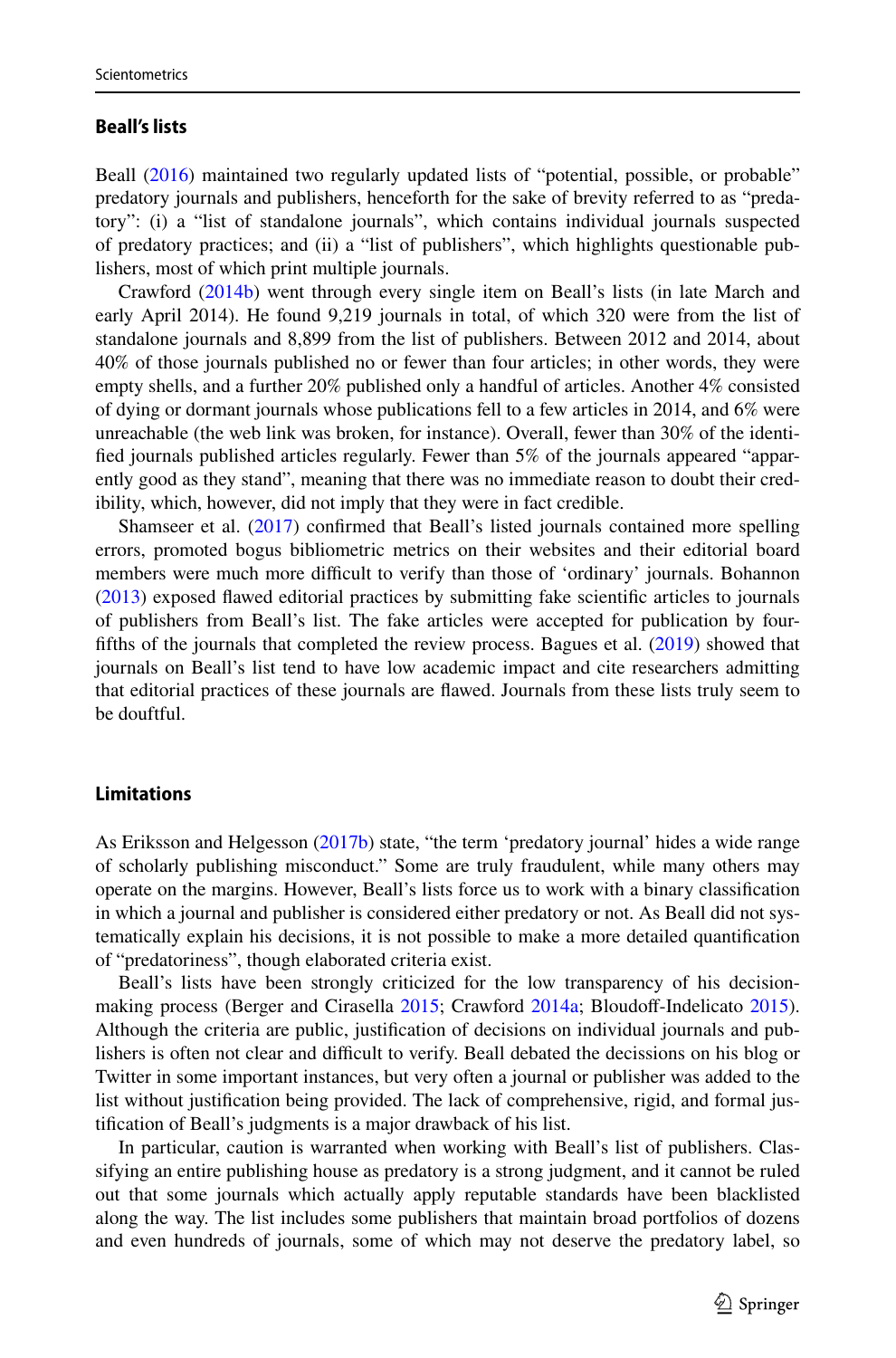#### **Beall's lists**

Beall [\(2016](#page-23-6)) maintained two regularly updated lists of "potential, possible, or probable" predatory journals and publishers, henceforth for the sake of brevity referred to as "predatory": (i) a "list of standalone journals", which contains individual journals suspected of predatory practices; and (ii) a "list of publishers", which highlights questionable publishers, most of which print multiple journals.

Crawford ([2014b](#page-23-15)) went through every single item on Beall's lists (in late March and early April 2014). He found 9,219 journals in total, of which 320 were from the list of standalone journals and 8,899 from the list of publishers. Between 2012 and 2014, about 40% of those journals published no or fewer than four articles; in other words, they were empty shells, and a further 20% published only a handful of articles. Another 4% consisted of dying or dormant journals whose publications fell to a few articles in 2014, and 6% were unreachable (the web link was broken, for instance). Overall, fewer than 30% of the identifed journals published articles regularly. Fewer than 5% of the journals appeared "apparently good as they stand", meaning that there was no immediate reason to doubt their credibility, which, however, did not imply that they were in fact credible.

Shamseer et al. ([2017\)](#page-23-16) confrmed that Beall's listed journals contained more spelling errors, promoted bogus bibliometric metrics on their websites and their editorial board members were much more difficult to verify than those of 'ordinary' journals. Bohannon ([2013\)](#page-23-4) exposed fawed editorial practices by submitting fake scientifc articles to journals of publishers from Beall's list. The fake articles were accepted for publication by fourffths of the journals that completed the review process. Bagues et al. ([2019\)](#page-23-1) showed that journals on Beall's list tend to have low academic impact and cite researchers admitting that editorial practices of these journals are fawed. Journals from these lists truly seem to be douftful.

#### **Limitations**

As Eriksson and Helgesson ([2017b\)](#page-23-17) state, "the term 'predatory journal' hides a wide range of scholarly publishing misconduct." Some are truly fraudulent, while many others may operate on the margins. However, Beall's lists force us to work with a binary classifcation in which a journal and publisher is considered either predatory or not. As Beall did not systematically explain his decisions, it is not possible to make a more detailed quantifcation of "predatoriness", though elaborated criteria exist.

Beall's lists have been strongly criticized for the low transparency of his decision-making process (Berger and Cirasella [2015;](#page-23-18) Crawford [2014a;](#page-23-19) Bloudoff-Indelicato [2015](#page-23-20)). Although the criteria are public, justifcation of decisions on individual journals and publishers is often not clear and difficult to verify. Beall debated the decissions on his blog or Twitter in some important instances, but very often a journal or publisher was added to the list without justifcation being provided. The lack of comprehensive, rigid, and formal justifcation of Beall's judgments is a major drawback of his list.

In particular, caution is warranted when working with Beall's list of publishers. Classifying an entire publishing house as predatory is a strong judgment, and it cannot be ruled out that some journals which actually apply reputable standards have been blacklisted along the way. The list includes some publishers that maintain broad portfolios of dozens and even hundreds of journals, some of which may not deserve the predatory label, so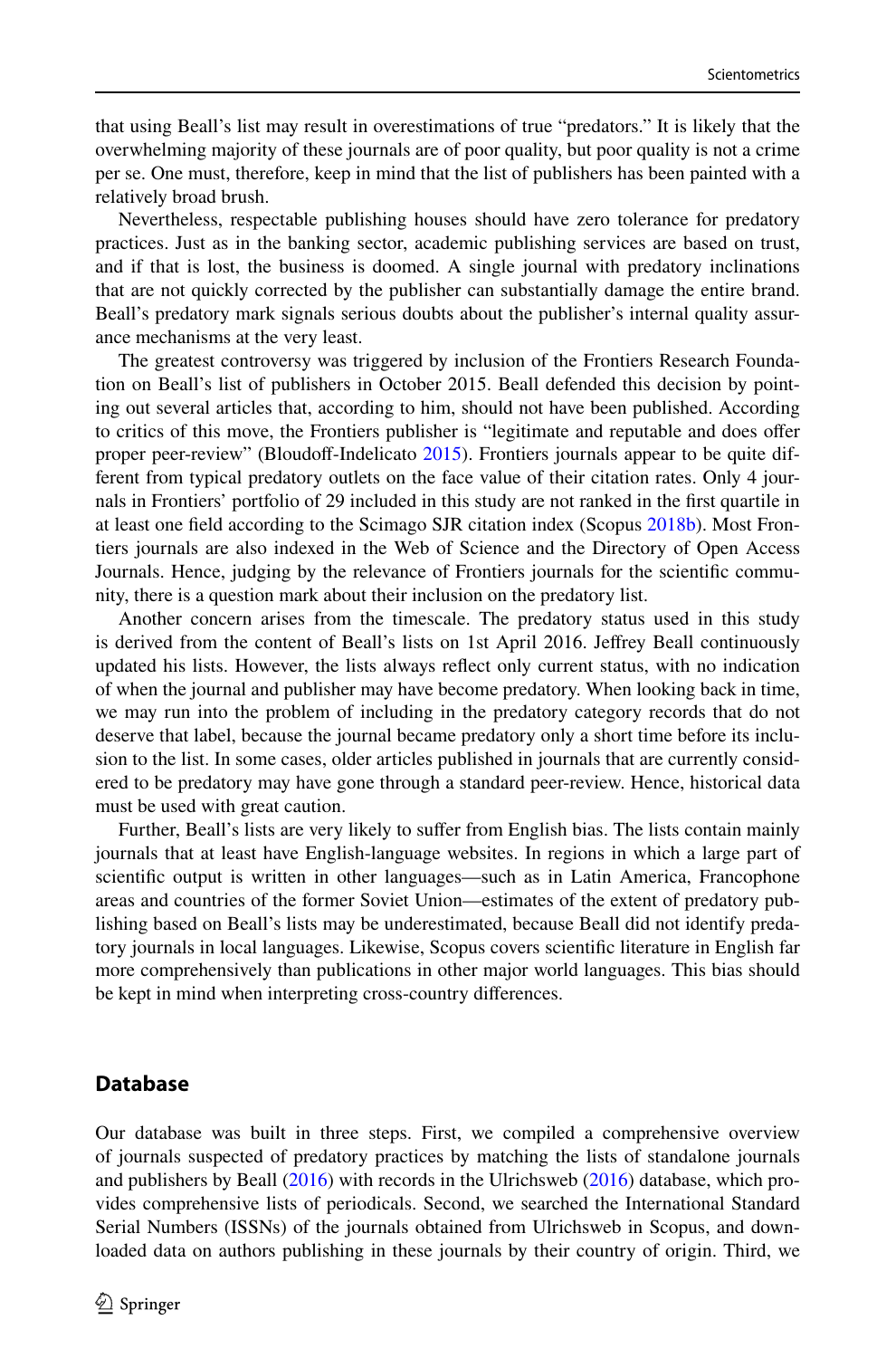that using Beall's list may result in overestimations of true "predators." It is likely that the overwhelming majority of these journals are of poor quality, but poor quality is not a crime per se. One must, therefore, keep in mind that the list of publishers has been painted with a relatively broad brush.

Nevertheless, respectable publishing houses should have zero tolerance for predatory practices. Just as in the banking sector, academic publishing services are based on trust, and if that is lost, the business is doomed. A single journal with predatory inclinations that are not quickly corrected by the publisher can substantially damage the entire brand. Beall's predatory mark signals serious doubts about the publisher's internal quality assurance mechanisms at the very least.

The greatest controversy was triggered by inclusion of the Frontiers Research Foundation on Beall's list of publishers in October 2015. Beall defended this decision by pointing out several articles that, according to him, should not have been published. According to critics of this move, the Frontiers publisher is "legitimate and reputable and does ofer proper peer-review" (Bloudoff-Indelicato [2015\)](#page-23-20). Frontiers journals appear to be quite different from typical predatory outlets on the face value of their citation rates. Only 4 journals in Frontiers' portfolio of 29 included in this study are not ranked in the frst quartile in at least one feld according to the Scimago SJR citation index (Scopus [2018b](#page-23-21)). Most Frontiers journals are also indexed in the Web of Science and the Directory of Open Access Journals. Hence, judging by the relevance of Frontiers journals for the scientifc community, there is a question mark about their inclusion on the predatory list.

Another concern arises from the timescale. The predatory status used in this study is derived from the content of Beall's lists on 1st April 2016. Jefrey Beall continuously updated his lists. However, the lists always refect only current status, with no indication of when the journal and publisher may have become predatory. When looking back in time, we may run into the problem of including in the predatory category records that do not deserve that label, because the journal became predatory only a short time before its inclusion to the list. In some cases, older articles published in journals that are currently considered to be predatory may have gone through a standard peer-review. Hence, historical data must be used with great caution.

Further, Beall's lists are very likely to suffer from English bias. The lists contain mainly journals that at least have English-language websites. In regions in which a large part of scientifc output is written in other languages—such as in Latin America, Francophone areas and countries of the former Soviet Union—estimates of the extent of predatory publishing based on Beall's lists may be underestimated, because Beall did not identify predatory journals in local languages. Likewise, Scopus covers scientifc literature in English far more comprehensively than publications in other major world languages. This bias should be kept in mind when interpreting cross-country diferences.

## **Database**

Our database was built in three steps. First, we compiled a comprehensive overview of journals suspected of predatory practices by matching the lists of standalone journals and publishers by Beall ([2016\)](#page-23-6) with records in the Ulrichsweb [\(2016](#page-24-2)) database, which provides comprehensive lists of periodicals. Second, we searched the International Standard Serial Numbers (ISSNs) of the journals obtained from Ulrichsweb in Scopus, and downloaded data on authors publishing in these journals by their country of origin. Third, we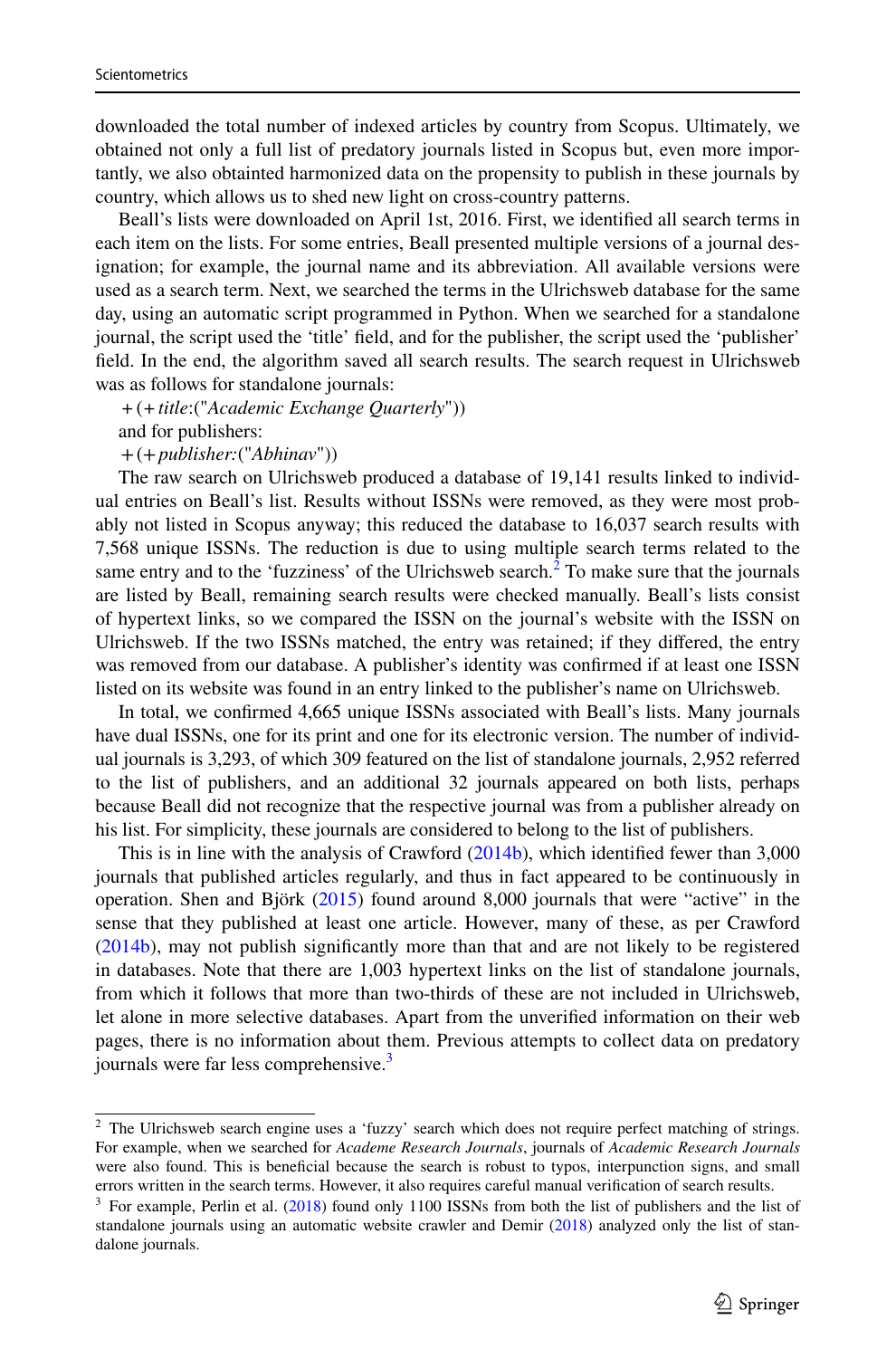downloaded the total number of indexed articles by country from Scopus. Ultimately, we obtained not only a full list of predatory journals listed in Scopus but, even more importantly, we also obtainted harmonized data on the propensity to publish in these journals by country, which allows us to shed new light on cross-country patterns.

Beall's lists were downloaded on April 1st, 2016. First, we identifed all search terms in each item on the lists. For some entries, Beall presented multiple versions of a journal designation; for example, the journal name and its abbreviation. All available versions were used as a search term. Next, we searched the terms in the Ulrichsweb database for the same day, using an automatic script programmed in Python. When we searched for a standalone journal, the script used the 'title' feld, and for the publisher, the script used the 'publisher' feld. In the end, the algorithm saved all search results. The search request in Ulrichsweb was as follows for standalone journals:

*+*(*+title*:("*Academic Exchange Quarterly*")) and for publishers:

+(+*publisher:*("*Abhinav*"))

The raw search on Ulrichsweb produced a database of 19,141 results linked to individual entries on Beall's list. Results without ISSNs were removed, as they were most probably not listed in Scopus anyway; this reduced the database to 16,037 search results with 7,568 unique ISSNs. The reduction is due to using multiple search terms related to the same entry and to the 'fuzziness' of the Ulrichsweb search.<sup>[2](#page-6-0)</sup> To make sure that the journals are listed by Beall, remaining search results were checked manually. Beall's lists consist of hypertext links, so we compared the ISSN on the journal's website with the ISSN on Ulrichsweb. If the two ISSNs matched, the entry was retained; if they difered, the entry was removed from our database. A publisher's identity was confrmed if at least one ISSN listed on its website was found in an entry linked to the publisher's name on Ulrichsweb.

In total, we confrmed 4,665 unique ISSNs associated with Beall's lists. Many journals have dual ISSNs, one for its print and one for its electronic version. The number of individual journals is 3,293, of which 309 featured on the list of standalone journals, 2,952 referred to the list of publishers, and an additional 32 journals appeared on both lists, perhaps because Beall did not recognize that the respective journal was from a publisher already on his list. For simplicity, these journals are considered to belong to the list of publishers.

This is in line with the analysis of Crawford [\(2014b](#page-23-15)), which identifed fewer than 3,000 journals that published articles regularly, and thus in fact appeared to be continuously in operation. Shen and Björk [\(2015](#page-23-7)) found around 8,000 journals that were "active" in the sense that they published at least one article. However, many of these, as per Crawford ([2014b\)](#page-23-15), may not publish signifcantly more than that and are not likely to be registered in databases. Note that there are 1,003 hypertext links on the list of standalone journals, from which it follows that more than two-thirds of these are not included in Ulrichsweb, let alone in more selective databases. Apart from the unverifed information on their web pages, there is no information about them. Previous attempts to collect data on predatory journals were far less comprehensive.<sup>[3](#page-6-1)</sup>

<span id="page-6-0"></span><sup>2</sup> The Ulrichsweb search engine uses a 'fuzzy' search which does not require perfect matching of strings. For example, when we searched for *Academe Research Journals*, journals of *Academic Research Journals* were also found. This is benefcial because the search is robust to typos, interpunction signs, and small errors written in the search terms. However, it also requires careful manual verifcation of search results.

<span id="page-6-1"></span> $3$  For example, Perlin et al. ([2018\)](#page-23-8) found only 1100 ISSNs from both the list of publishers and the list of standalone journals using an automatic website crawler and Demir [\(2018](#page-23-3)) analyzed only the list of standalone journals.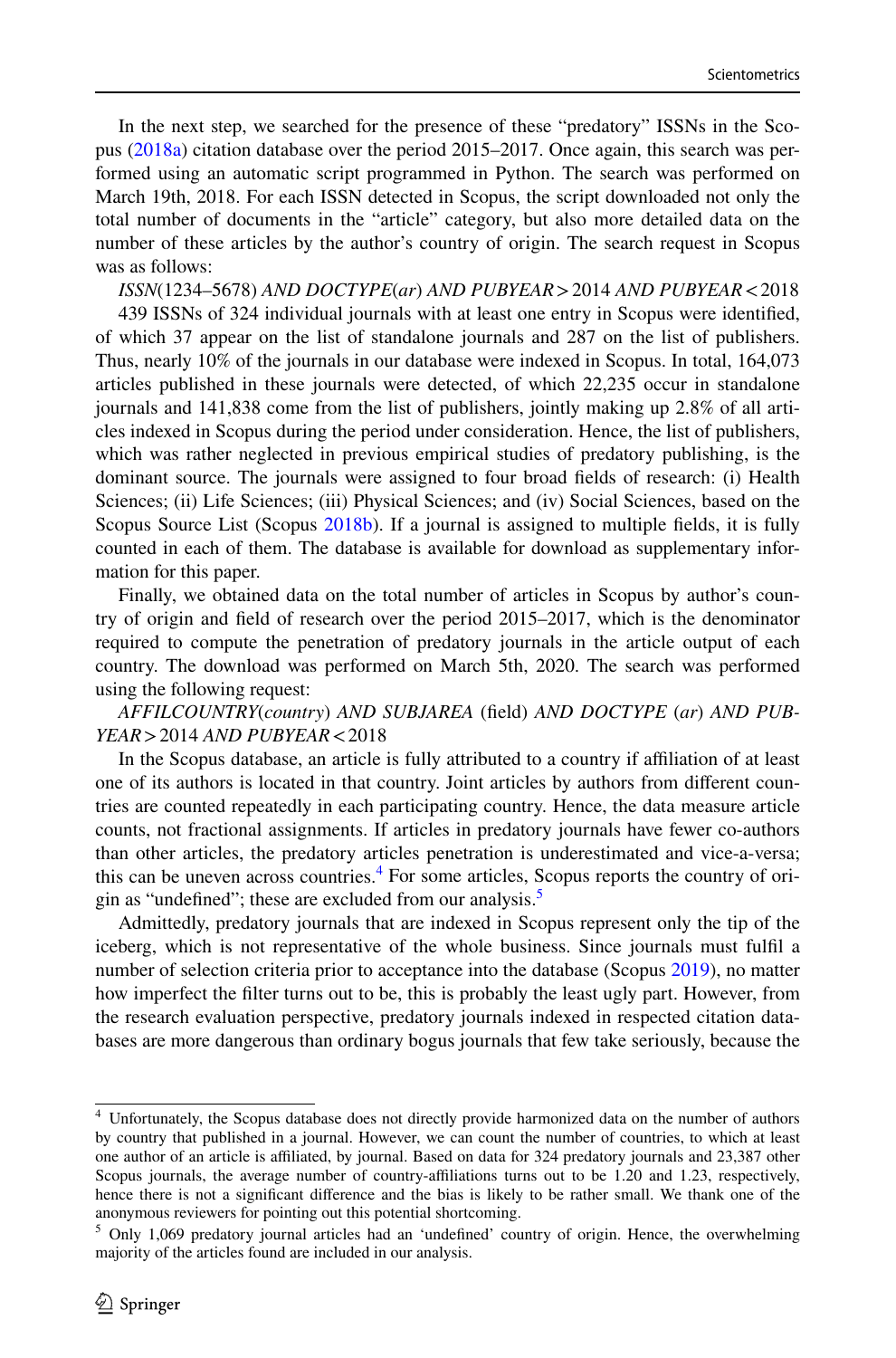In the next step, we searched for the presence of these "predatory" ISSNs in the Scopus ([2018a\)](#page-23-9) citation database over the period 2015–2017. Once again, this search was performed using an automatic script programmed in Python. The search was performed on March 19th, 2018. For each ISSN detected in Scopus, the script downloaded not only the total number of documents in the "article" category, but also more detailed data on the number of these articles by the author's country of origin. The search request in Scopus was as follows:

*ISSN*(1234–5678) *AND DOCTYPE*(*ar*) *AND PUBYEAR*>2014 *AND PUBYEAR*<2018 439 ISSNs of 324 individual journals with at least one entry in Scopus were identifed, of which 37 appear on the list of standalone journals and 287 on the list of publishers. Thus, nearly 10% of the journals in our database were indexed in Scopus. In total, 164,073 articles published in these journals were detected, of which 22,235 occur in standalone journals and 141,838 come from the list of publishers, jointly making up 2.8% of all articles indexed in Scopus during the period under consideration. Hence, the list of publishers, which was rather neglected in previous empirical studies of predatory publishing, is the dominant source. The journals were assigned to four broad felds of research: (i) Health Sciences; (ii) Life Sciences; (iii) Physical Sciences; and (iv) Social Sciences, based on the Scopus Source List (Scopus [2018b\)](#page-23-21). If a journal is assigned to multiple felds, it is fully counted in each of them. The database is available for download as supplementary information for this paper.

Finally, we obtained data on the total number of articles in Scopus by author's country of origin and feld of research over the period 2015–2017, which is the denominator required to compute the penetration of predatory journals in the article output of each country. The download was performed on March 5th, 2020. The search was performed using the following request:

*AFFILCOUNTRY*(*country*) *AND SUBJAREA* (feld) *AND DOCTYPE* (*ar*) *AND PUB-YEAR*>2014 *AND PUBYEAR*<2018

In the Scopus database, an article is fully attributed to a country if afliation of at least one of its authors is located in that country. Joint articles by authors from diferent countries are counted repeatedly in each participating country. Hence, the data measure article counts, not fractional assignments. If articles in predatory journals have fewer co-authors than other articles, the predatory articles penetration is underestimated and vice-a-versa; this can be uneven across countries.<sup>[4](#page-7-0)</sup> For some articles, Scopus reports the country of origin as "undefined"; these are excluded from our analysis.<sup>5</sup>

Admittedly, predatory journals that are indexed in Scopus represent only the tip of the iceberg, which is not representative of the whole business. Since journals must fulfl a number of selection criteria prior to acceptance into the database (Scopus [2019](#page-23-22)), no matter how imperfect the flter turns out to be, this is probably the least ugly part. However, from the research evaluation perspective, predatory journals indexed in respected citation databases are more dangerous than ordinary bogus journals that few take seriously, because the

<span id="page-7-0"></span><sup>4</sup> Unfortunately, the Scopus database does not directly provide harmonized data on the number of authors by country that published in a journal. However, we can count the number of countries, to which at least one author of an article is afliated, by journal. Based on data for 324 predatory journals and 23,387 other Scopus journals, the average number of country-affiliations turns out to be 1.20 and 1.23, respectively, hence there is not a signifcant diference and the bias is likely to be rather small. We thank one of the anonymous reviewers for pointing out this potential shortcoming.

<span id="page-7-1"></span><sup>&</sup>lt;sup>5</sup> Only 1,069 predatory journal articles had an 'undefined' country of origin. Hence, the overwhelming majority of the articles found are included in our analysis.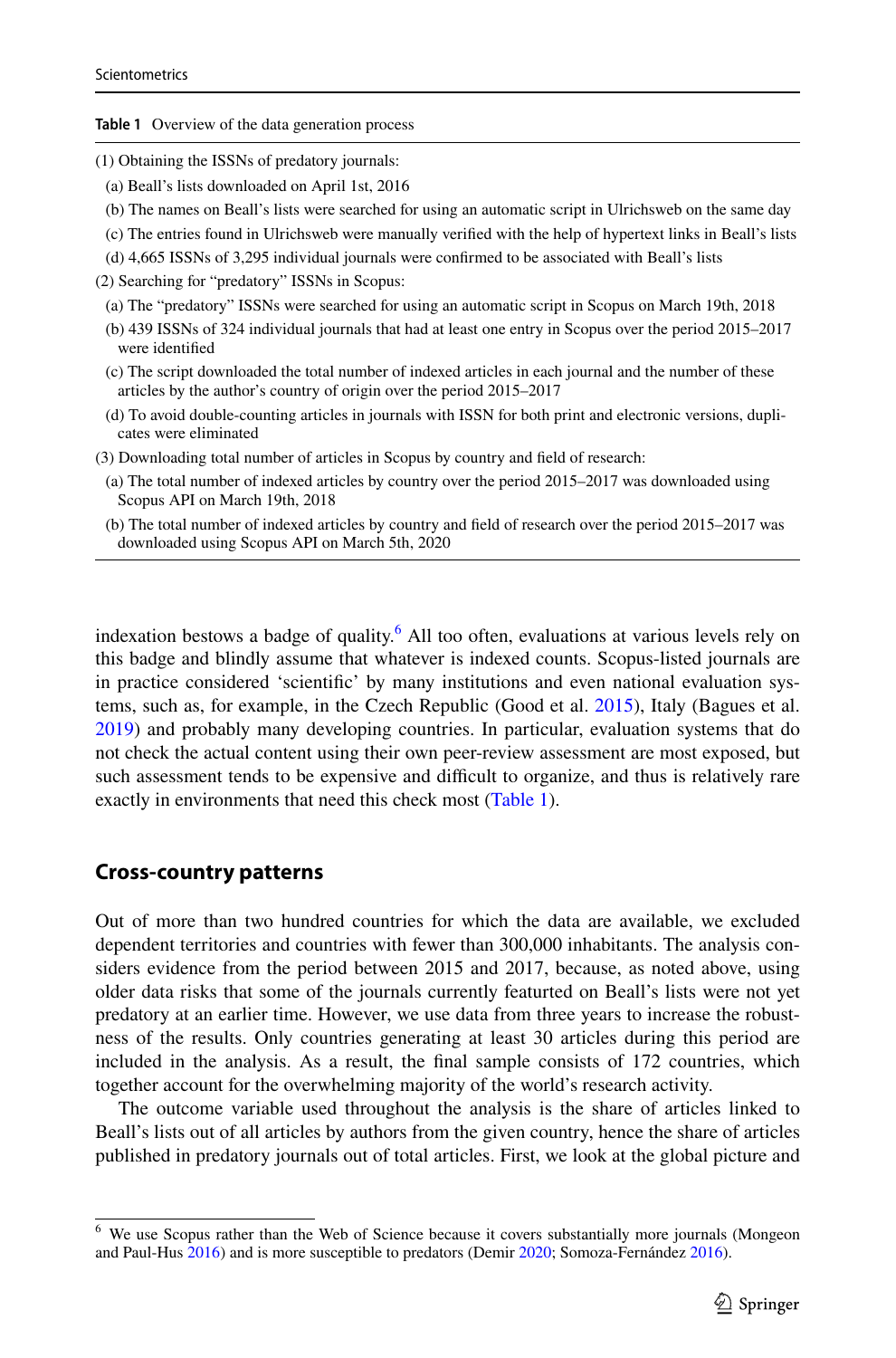<span id="page-8-1"></span>**Table 1** Overview of the data generation process

- (1) Obtaining the ISSNs of predatory journals:
- (a) Beall's lists downloaded on April 1st, 2016
- (b) The names on Beall's lists were searched for using an automatic script in Ulrichsweb on the same day
- (c) The entries found in Ulrichsweb were manually verifed with the help of hypertext links in Beall's lists
- (d) 4,665 ISSNs of 3,295 individual journals were confrmed to be associated with Beall's lists

(2) Searching for "predatory" ISSNs in Scopus:

- (a) The "predatory" ISSNs were searched for using an automatic script in Scopus on March 19th, 2018
- (b) 439 ISSNs of 324 individual journals that had at least one entry in Scopus over the period 2015–2017 were identifed
- (c) The script downloaded the total number of indexed articles in each journal and the number of these articles by the author's country of origin over the period 2015–2017
- (d) To avoid double-counting articles in journals with ISSN for both print and electronic versions, duplicates were eliminated
- (3) Downloading total number of articles in Scopus by country and feld of research:
- (a) The total number of indexed articles by country over the period 2015–2017 was downloaded using Scopus API on March 19th, 2018
- (b) The total number of indexed articles by country and feld of research over the period 2015–2017 was downloaded using Scopus API on March 5th, 2020

indexation bestows a badge of quality.<sup>[6](#page-8-0)</sup> All too often, evaluations at various levels rely on this badge and blindly assume that whatever is indexed counts. Scopus-listed journals are in practice considered 'scientifc' by many institutions and even national evaluation systems, such as, for example, in the Czech Republic (Good et al. [2015\)](#page-23-23), Italy (Bagues et al. [2019\)](#page-23-1) and probably many developing countries. In particular, evaluation systems that do not check the actual content using their own peer-review assessment are most exposed, but such assessment tends to be expensive and difficult to organize, and thus is relatively rare exactly in environments that need this check most ([Table 1](#page-8-1)).

#### **Cross‑country patterns**

Out of more than two hundred countries for which the data are available, we excluded dependent territories and countries with fewer than 300,000 inhabitants. The analysis considers evidence from the period between 2015 and 2017, because, as noted above, using older data risks that some of the journals currently featurted on Beall's lists were not yet predatory at an earlier time. However, we use data from three years to increase the robustness of the results. Only countries generating at least 30 articles during this period are included in the analysis. As a result, the fnal sample consists of 172 countries, which together account for the overwhelming majority of the world's research activity.

The outcome variable used throughout the analysis is the share of articles linked to Beall's lists out of all articles by authors from the given country, hence the share of articles published in predatory journals out of total articles. First, we look at the global picture and

<span id="page-8-0"></span><sup>&</sup>lt;sup>6</sup> We use Scopus rather than the Web of Science because it covers substantially more journals (Mongeon and Paul-Hus [2016](#page-23-24)) and is more susceptible to predators (Demir [2020;](#page-23-25) Somoza-Fernández [2016\)](#page-24-4).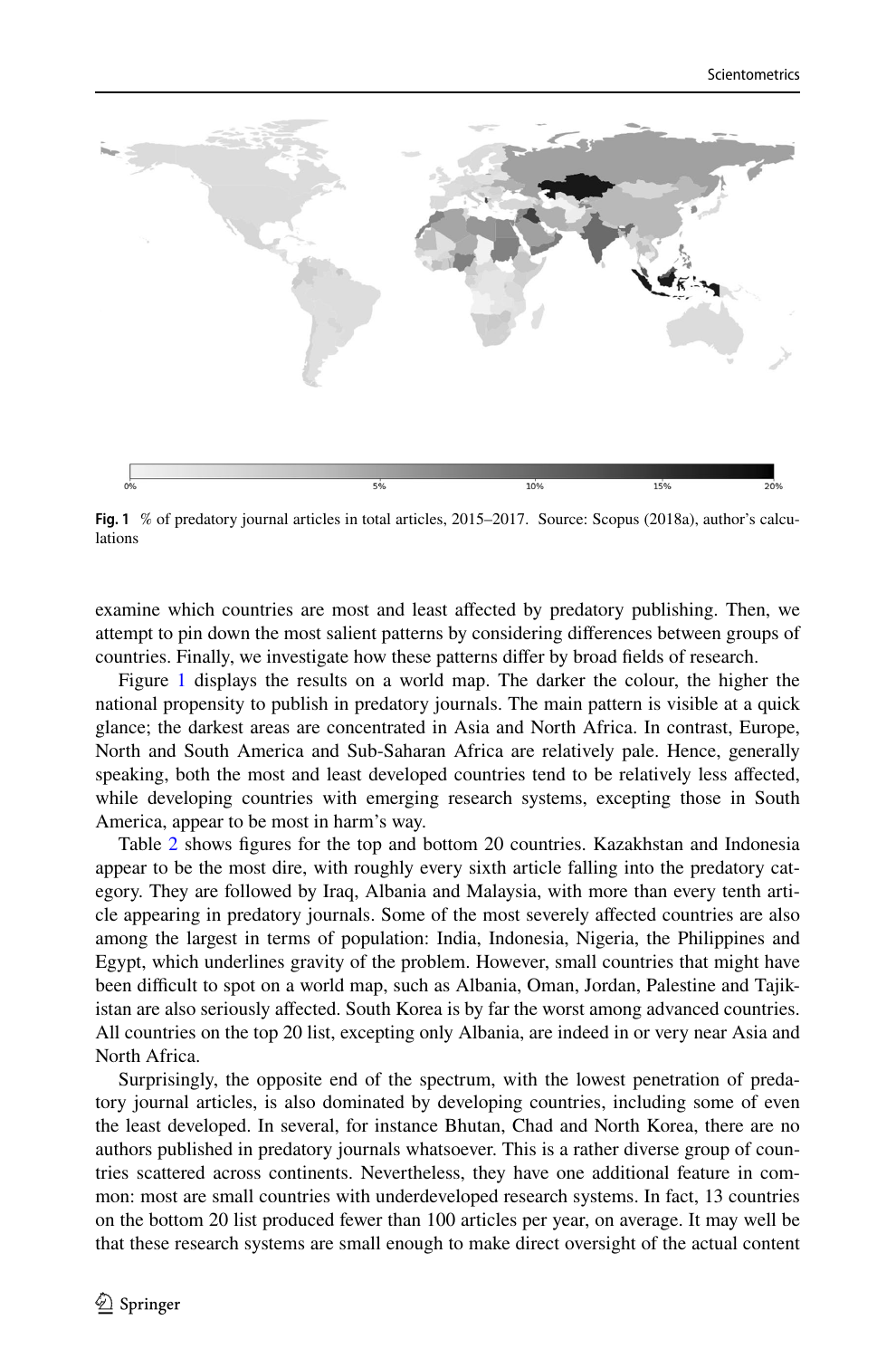

<span id="page-9-0"></span>**Fig. 1** % of predatory journal articles in total articles, 2015–2017. Source: Scopus (2018a), author's calculations

examine which countries are most and least afected by predatory publishing. Then, we attempt to pin down the most salient patterns by considering diferences between groups of countries. Finally, we investigate how these patterns difer by broad felds of research.

Figure [1](#page-9-0) displays the results on a world map. The darker the colour, the higher the national propensity to publish in predatory journals. The main pattern is visible at a quick glance; the darkest areas are concentrated in Asia and North Africa. In contrast, Europe, North and South America and Sub-Saharan Africa are relatively pale. Hence, generally speaking, both the most and least developed countries tend to be relatively less afected, while developing countries with emerging research systems, excepting those in South America, appear to be most in harm's way.

Table [2](#page-10-0) shows fgures for the top and bottom 20 countries. Kazakhstan and Indonesia appear to be the most dire, with roughly every sixth article falling into the predatory category. They are followed by Iraq, Albania and Malaysia, with more than every tenth article appearing in predatory journals. Some of the most severely afected countries are also among the largest in terms of population: India, Indonesia, Nigeria, the Philippines and Egypt, which underlines gravity of the problem. However, small countries that might have been difficult to spot on a world map, such as Albania, Oman, Jordan, Palestine and Tajikistan are also seriously afected. South Korea is by far the worst among advanced countries. All countries on the top 20 list, excepting only Albania, are indeed in or very near Asia and North Africa.

Surprisingly, the opposite end of the spectrum, with the lowest penetration of predatory journal articles, is also dominated by developing countries, including some of even the least developed. In several, for instance Bhutan, Chad and North Korea, there are no authors published in predatory journals whatsoever. This is a rather diverse group of countries scattered across continents. Nevertheless, they have one additional feature in common: most are small countries with underdeveloped research systems. In fact, 13 countries on the bottom 20 list produced fewer than 100 articles per year, on average. It may well be that these research systems are small enough to make direct oversight of the actual content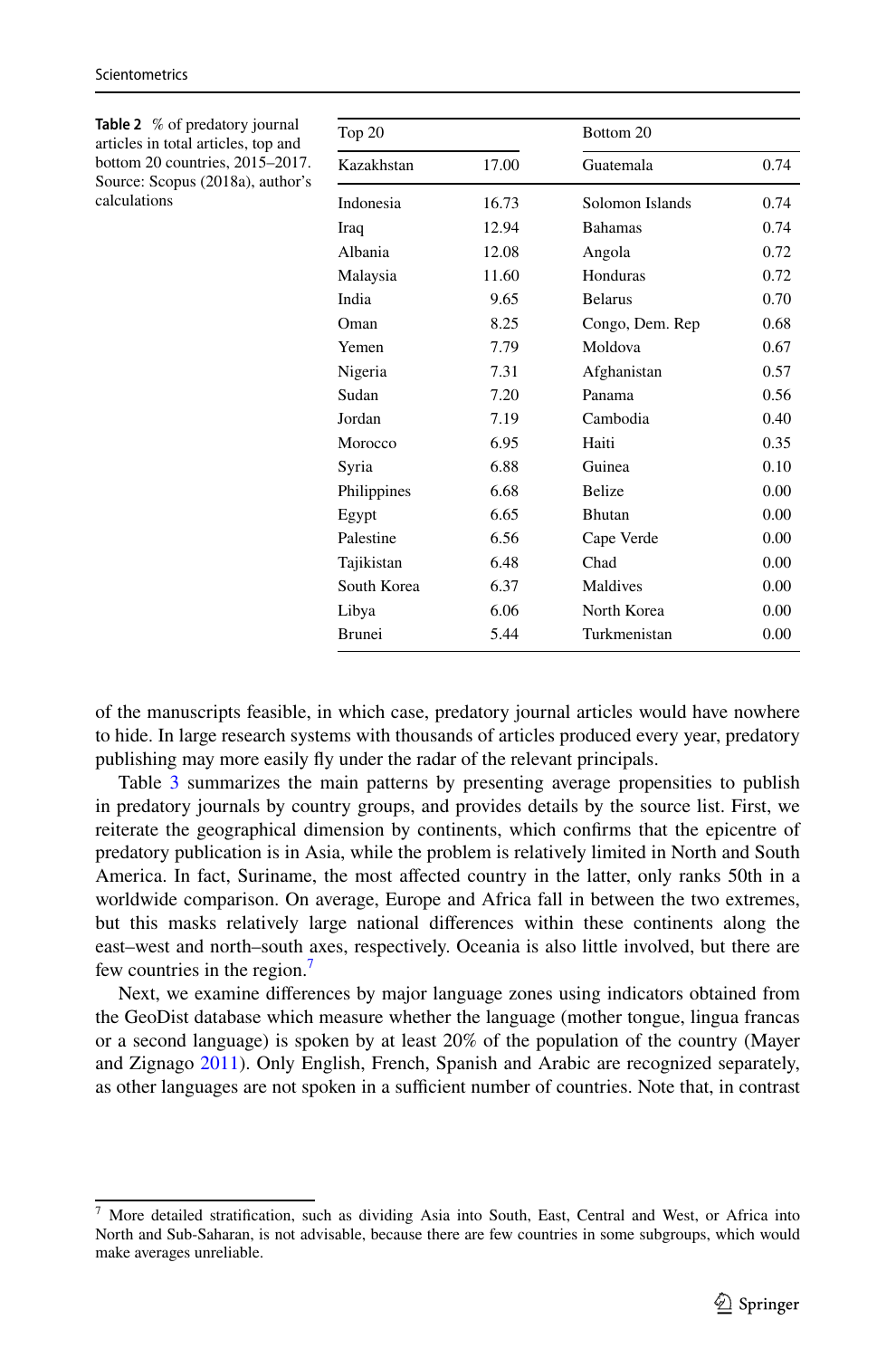<span id="page-10-0"></span>

| <b>Table 2</b> % of predatory journal                               |             |       |                 |      |
|---------------------------------------------------------------------|-------------|-------|-----------------|------|
| articles in total articles, top and                                 | Top 20      |       | Bottom 20       |      |
| bottom 20 countries, 2015-2017.<br>Source: Scopus (2018a), author's | Kazakhstan  | 17.00 | Guatemala       | 0.74 |
| calculations                                                        | Indonesia   | 16.73 | Solomon Islands | 0.74 |
|                                                                     | Iraq        | 12.94 | <b>Bahamas</b>  | 0.74 |
|                                                                     | Albania     | 12.08 | Angola          | 0.72 |
|                                                                     | Malaysia    | 11.60 | Honduras        | 0.72 |
|                                                                     | India       | 9.65  | <b>Belarus</b>  | 0.70 |
|                                                                     | Oman        | 8.25  | Congo, Dem. Rep | 0.68 |
|                                                                     | Yemen       | 7.79  | Moldova         | 0.67 |
|                                                                     | Nigeria     | 7.31  | Afghanistan     | 0.57 |
|                                                                     | Sudan       | 7.20  | Panama          | 0.56 |
|                                                                     | Jordan      | 7.19  | Cambodia        | 0.40 |
|                                                                     | Morocco     | 6.95  | Haiti           | 0.35 |
|                                                                     | Syria       | 6.88  | Guinea          | 0.10 |
|                                                                     | Philippines | 6.68  | <b>Belize</b>   | 0.00 |
|                                                                     | Egypt       | 6.65  | <b>Bhutan</b>   | 0.00 |
|                                                                     | Palestine   | 6.56  | Cape Verde      | 0.00 |
|                                                                     | Tajikistan  | 6.48  | Chad            | 0.00 |
|                                                                     | South Korea | 6.37  | Maldives        | 0.00 |
|                                                                     | Libya       | 6.06  | North Korea     | 0.00 |
|                                                                     | Brunei      | 5.44  | Turkmenistan    | 0.00 |

Scientometrics

of the manuscripts feasible, in which case, predatory journal articles would have nowhere to hide. In large research systems with thousands of articles produced every year, predatory publishing may more easily fy under the radar of the relevant principals.

Table [3](#page-11-0) summarizes the main patterns by presenting average propensities to publish in predatory journals by country groups, and provides details by the source list. First, we reiterate the geographical dimension by continents, which confrms that the epicentre of predatory publication is in Asia, while the problem is relatively limited in North and South America. In fact, Suriname, the most afected country in the latter, only ranks 50th in a worldwide comparison. On average, Europe and Africa fall in between the two extremes, but this masks relatively large national diferences within these continents along the east–west and north–south axes, respectively. Oceania is also little involved, but there are few countries in the region.<sup>[7](#page-10-1)</sup>

Next, we examine diferences by major language zones using indicators obtained from the GeoDist database which measure whether the language (mother tongue, lingua francas or a second language) is spoken by at least 20% of the population of the country (Mayer and Zignago [2011](#page-23-26)). Only English, French, Spanish and Arabic are recognized separately, as other languages are not spoken in a sufficient number of countries. Note that, in contrast

<span id="page-10-1"></span><sup>7</sup> More detailed stratifcation, such as dividing Asia into South, East, Central and West, or Africa into North and Sub-Saharan, is not advisable, because there are few countries in some subgroups, which would make averages unreliable.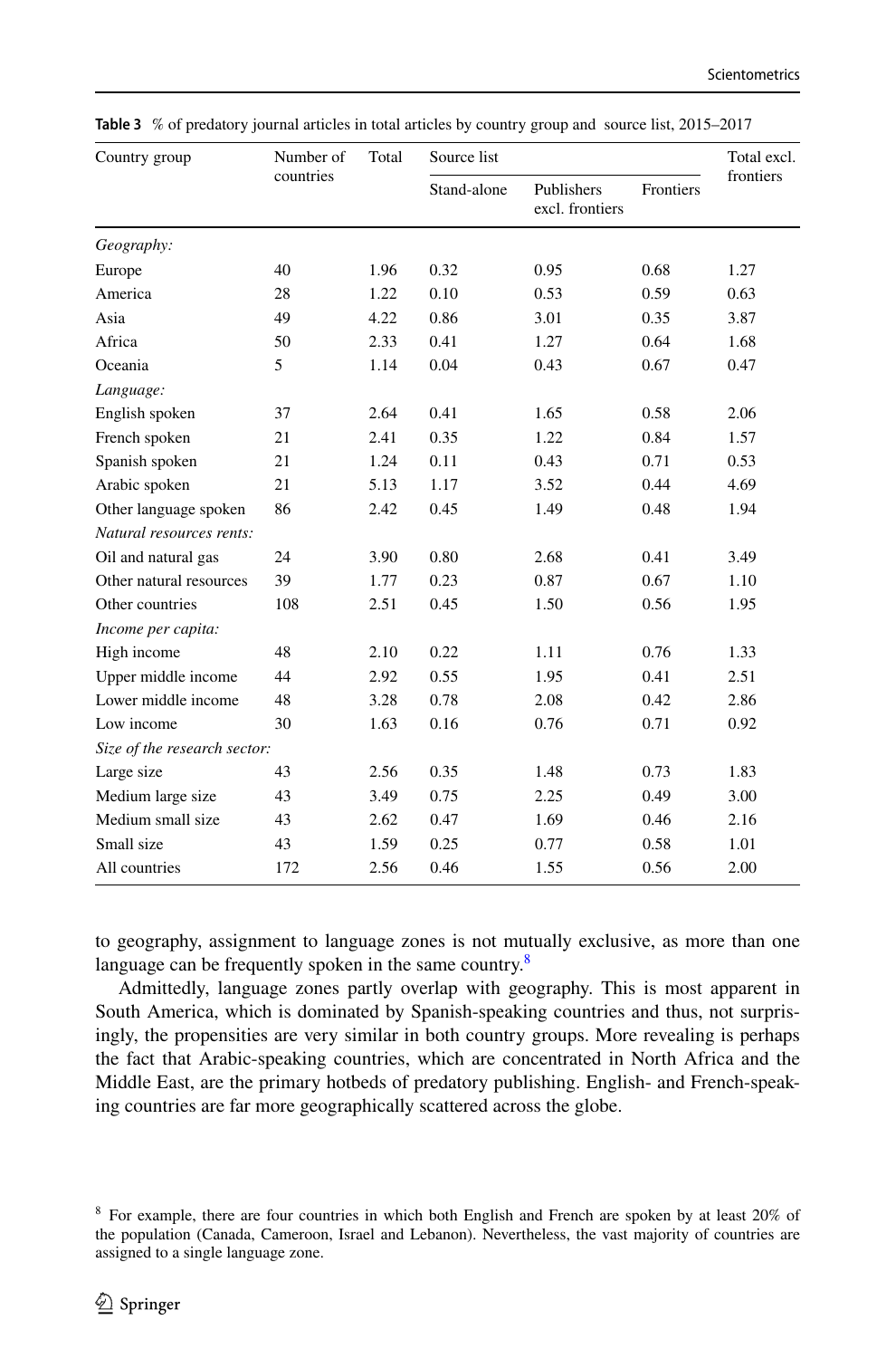| Country group                | Number of | Total | Source list |                               |           | Total excl. |
|------------------------------|-----------|-------|-------------|-------------------------------|-----------|-------------|
|                              | countries |       | Stand-alone | Publishers<br>excl. frontiers | Frontiers | frontiers   |
| Geography:                   |           |       |             |                               |           |             |
| Europe                       | 40        | 1.96  | 0.32        | 0.95                          | 0.68      | 1.27        |
| America                      | 28        | 1.22  | 0.10        | 0.53                          | 0.59      | 0.63        |
| Asia                         | 49        | 4.22  | 0.86        | 3.01                          | 0.35      | 3.87        |
| Africa                       | 50        | 2.33  | 0.41        | 1.27                          | 0.64      | 1.68        |
| Oceania                      | 5         | 1.14  | 0.04        | 0.43                          | 0.67      | 0.47        |
| Language:                    |           |       |             |                               |           |             |
| English spoken               | 37        | 2.64  | 0.41        | 1.65                          | 0.58      | 2.06        |
| French spoken                | 21        | 2.41  | 0.35        | 1.22                          | 0.84      | 1.57        |
| Spanish spoken               | 21        | 1.24  | 0.11        | 0.43                          | 0.71      | 0.53        |
| Arabic spoken                | 21        | 5.13  | 1.17        | 3.52                          | 0.44      | 4.69        |
| Other language spoken        | 86        | 2.42  | 0.45        | 1.49                          | 0.48      | 1.94        |
| Natural resources rents:     |           |       |             |                               |           |             |
| Oil and natural gas          | 24        | 3.90  | 0.80        | 2.68                          | 0.41      | 3.49        |
| Other natural resources      | 39        | 1.77  | 0.23        | 0.87                          | 0.67      | 1.10        |
| Other countries              | 108       | 2.51  | 0.45        | 1.50                          | 0.56      | 1.95        |
| Income per capita:           |           |       |             |                               |           |             |
| High income                  | 48        | 2.10  | 0.22        | 1.11                          | 0.76      | 1.33        |
| Upper middle income          | 44        | 2.92  | 0.55        | 1.95                          | 0.41      | 2.51        |
| Lower middle income          | 48        | 3.28  | 0.78        | 2.08                          | 0.42      | 2.86        |
| Low income                   | 30        | 1.63  | 0.16        | 0.76                          | 0.71      | 0.92        |
| Size of the research sector: |           |       |             |                               |           |             |
| Large size                   | 43        | 2.56  | 0.35        | 1.48                          | 0.73      | 1.83        |
| Medium large size            | 43        | 3.49  | 0.75        | 2.25                          | 0.49      | 3.00        |
| Medium small size            | 43        | 2.62  | 0.47        | 1.69                          | 0.46      | 2.16        |
| Small size                   | 43        | 1.59  | 0.25        | 0.77                          | 0.58      | 1.01        |
| All countries                | 172       | 2.56  | 0.46        | 1.55                          | 0.56      | 2.00        |

<span id="page-11-0"></span>**Table 3** % of predatory journal articles in total articles by country group and source list, 2015–2017

to geography, assignment to language zones is not mutually exclusive, as more than one language can be frequently spoken in the same country. $8$ 

Admittedly, language zones partly overlap with geography. This is most apparent in South America, which is dominated by Spanish-speaking countries and thus, not surprisingly, the propensities are very similar in both country groups. More revealing is perhaps the fact that Arabic-speaking countries, which are concentrated in North Africa and the Middle East, are the primary hotbeds of predatory publishing. English- and French-speaking countries are far more geographically scattered across the globe.

<span id="page-11-1"></span><sup>8</sup> For example, there are four countries in which both English and French are spoken by at least 20% of the population (Canada, Cameroon, Israel and Lebanon). Nevertheless, the vast majority of countries are assigned to a single language zone.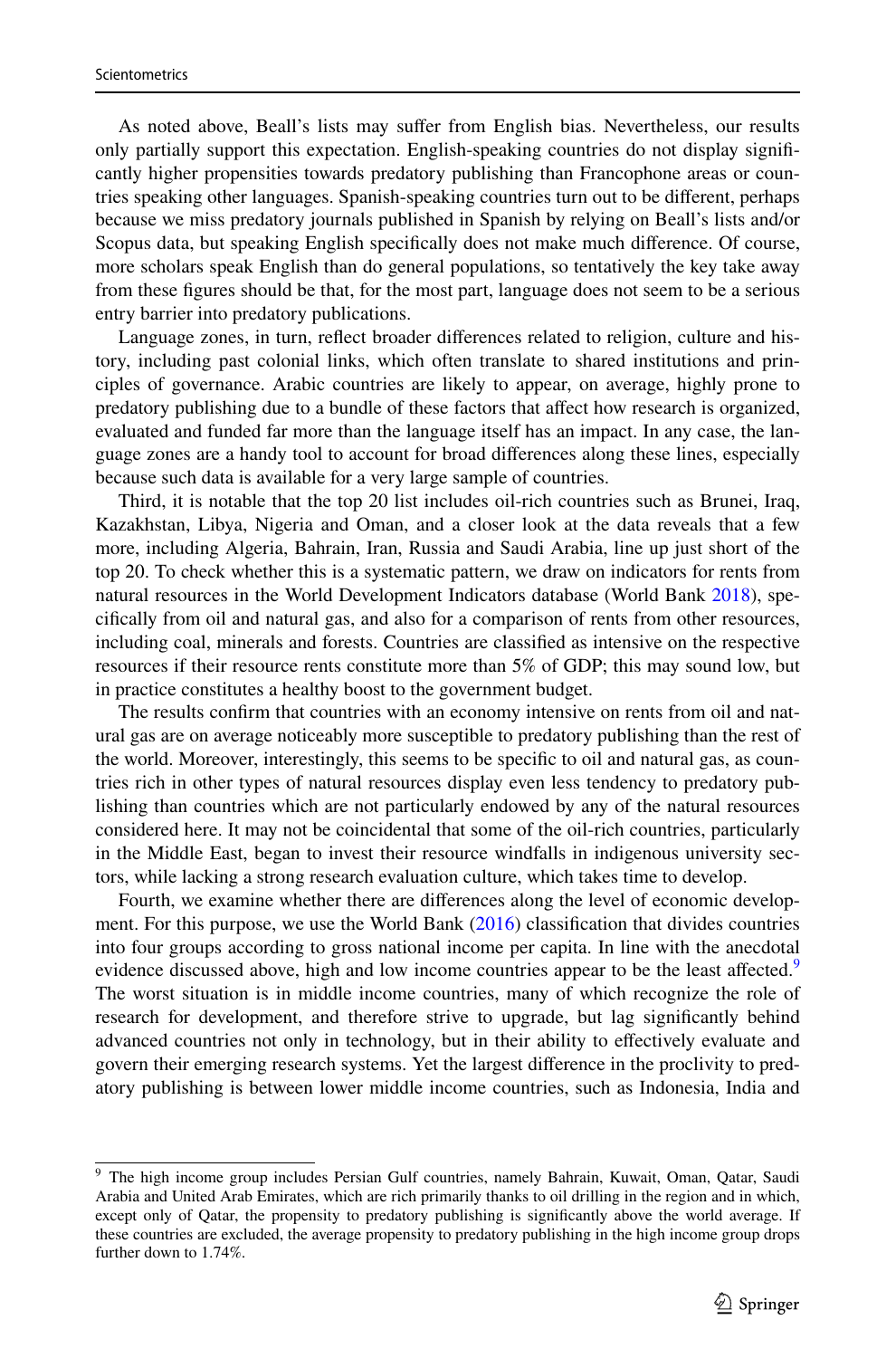As noted above, Beall's lists may sufer from English bias. Nevertheless, our results only partially support this expectation. English-speaking countries do not display signifcantly higher propensities towards predatory publishing than Francophone areas or countries speaking other languages. Spanish-speaking countries turn out to be diferent, perhaps because we miss predatory journals published in Spanish by relying on Beall's lists and/or Scopus data, but speaking English specifcally does not make much diference. Of course, more scholars speak English than do general populations, so tentatively the key take away from these fgures should be that, for the most part, language does not seem to be a serious entry barrier into predatory publications.

Language zones, in turn, refect broader diferences related to religion, culture and history, including past colonial links, which often translate to shared institutions and principles of governance. Arabic countries are likely to appear, on average, highly prone to predatory publishing due to a bundle of these factors that afect how research is organized, evaluated and funded far more than the language itself has an impact. In any case, the language zones are a handy tool to account for broad diferences along these lines, especially because such data is available for a very large sample of countries.

Third, it is notable that the top 20 list includes oil-rich countries such as Brunei, Iraq, Kazakhstan, Libya, Nigeria and Oman, and a closer look at the data reveals that a few more, including Algeria, Bahrain, Iran, Russia and Saudi Arabia, line up just short of the top 20. To check whether this is a systematic pattern, we draw on indicators for rents from natural resources in the World Development Indicators database (World Bank [2018](#page-24-5)), specifcally from oil and natural gas, and also for a comparison of rents from other resources, including coal, minerals and forests. Countries are classifed as intensive on the respective resources if their resource rents constitute more than 5% of GDP; this may sound low, but in practice constitutes a healthy boost to the government budget.

The results confrm that countries with an economy intensive on rents from oil and natural gas are on average noticeably more susceptible to predatory publishing than the rest of the world. Moreover, interestingly, this seems to be specifc to oil and natural gas, as countries rich in other types of natural resources display even less tendency to predatory publishing than countries which are not particularly endowed by any of the natural resources considered here. It may not be coincidental that some of the oil-rich countries, particularly in the Middle East, began to invest their resource windfalls in indigenous university sectors, while lacking a strong research evaluation culture, which takes time to develop.

Fourth, we examine whether there are diferences along the level of economic development. For this purpose, we use the World Bank [\(2016](#page-24-6)) classifcation that divides countries into four groups according to gross national income per capita. In line with the anecdotal evidence discussed above, high and low income countries appear to be the least affected.<sup>[9](#page-12-0)</sup> The worst situation is in middle income countries, many of which recognize the role of research for development, and therefore strive to upgrade, but lag signifcantly behind advanced countries not only in technology, but in their ability to efectively evaluate and govern their emerging research systems. Yet the largest diference in the proclivity to predatory publishing is between lower middle income countries, such as Indonesia, India and

<span id="page-12-0"></span><sup>&</sup>lt;sup>9</sup> The high income group includes Persian Gulf countries, namely Bahrain, Kuwait, Oman, Qatar, Saudi Arabia and United Arab Emirates, which are rich primarily thanks to oil drilling in the region and in which, except only of Qatar, the propensity to predatory publishing is signifcantly above the world average. If these countries are excluded, the average propensity to predatory publishing in the high income group drops further down to 1.74%.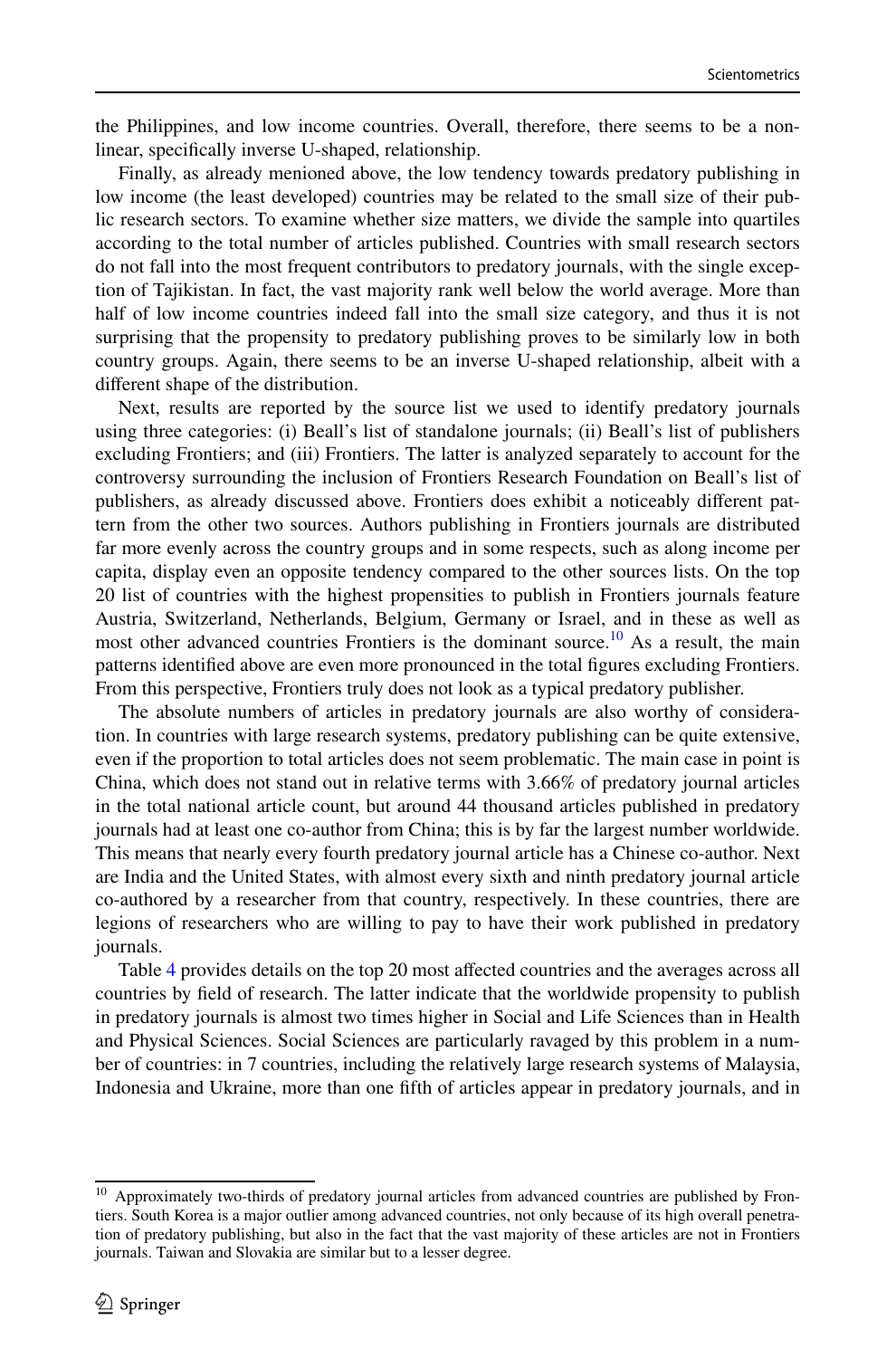the Philippines, and low income countries. Overall, therefore, there seems to be a nonlinear, specifcally inverse U-shaped, relationship.

Finally, as already menioned above, the low tendency towards predatory publishing in low income (the least developed) countries may be related to the small size of their public research sectors. To examine whether size matters, we divide the sample into quartiles according to the total number of articles published. Countries with small research sectors do not fall into the most frequent contributors to predatory journals, with the single exception of Tajikistan. In fact, the vast majority rank well below the world average. More than half of low income countries indeed fall into the small size category, and thus it is not surprising that the propensity to predatory publishing proves to be similarly low in both country groups. Again, there seems to be an inverse U-shaped relationship, albeit with a diferent shape of the distribution.

Next, results are reported by the source list we used to identify predatory journals using three categories: (i) Beall's list of standalone journals; (ii) Beall's list of publishers excluding Frontiers; and (iii) Frontiers. The latter is analyzed separately to account for the controversy surrounding the inclusion of Frontiers Research Foundation on Beall's list of publishers, as already discussed above. Frontiers does exhibit a noticeably diferent pattern from the other two sources. Authors publishing in Frontiers journals are distributed far more evenly across the country groups and in some respects, such as along income per capita, display even an opposite tendency compared to the other sources lists. On the top 20 list of countries with the highest propensities to publish in Frontiers journals feature Austria, Switzerland, Netherlands, Belgium, Germany or Israel, and in these as well as most other advanced countries Frontiers is the dominant source.<sup>10</sup> As a result, the main patterns identifed above are even more pronounced in the total fgures excluding Frontiers. From this perspective, Frontiers truly does not look as a typical predatory publisher.

The absolute numbers of articles in predatory journals are also worthy of consideration. In countries with large research systems, predatory publishing can be quite extensive, even if the proportion to total articles does not seem problematic. The main case in point is China, which does not stand out in relative terms with 3.66% of predatory journal articles in the total national article count, but around 44 thousand articles published in predatory journals had at least one co-author from China; this is by far the largest number worldwide. This means that nearly every fourth predatory journal article has a Chinese co-author. Next are India and the United States, with almost every sixth and ninth predatory journal article co-authored by a researcher from that country, respectively. In these countries, there are legions of researchers who are willing to pay to have their work published in predatory journals.

Table [4](#page-14-0) provides details on the top 20 most afected countries and the averages across all countries by feld of research. The latter indicate that the worldwide propensity to publish in predatory journals is almost two times higher in Social and Life Sciences than in Health and Physical Sciences. Social Sciences are particularly ravaged by this problem in a number of countries: in 7 countries, including the relatively large research systems of Malaysia, Indonesia and Ukraine, more than one ffth of articles appear in predatory journals, and in

<span id="page-13-0"></span><sup>&</sup>lt;sup>10</sup> Approximately two-thirds of predatory journal articles from advanced countries are published by Frontiers. South Korea is a major outlier among advanced countries, not only because of its high overall penetration of predatory publishing, but also in the fact that the vast majority of these articles are not in Frontiers journals. Taiwan and Slovakia are similar but to a lesser degree.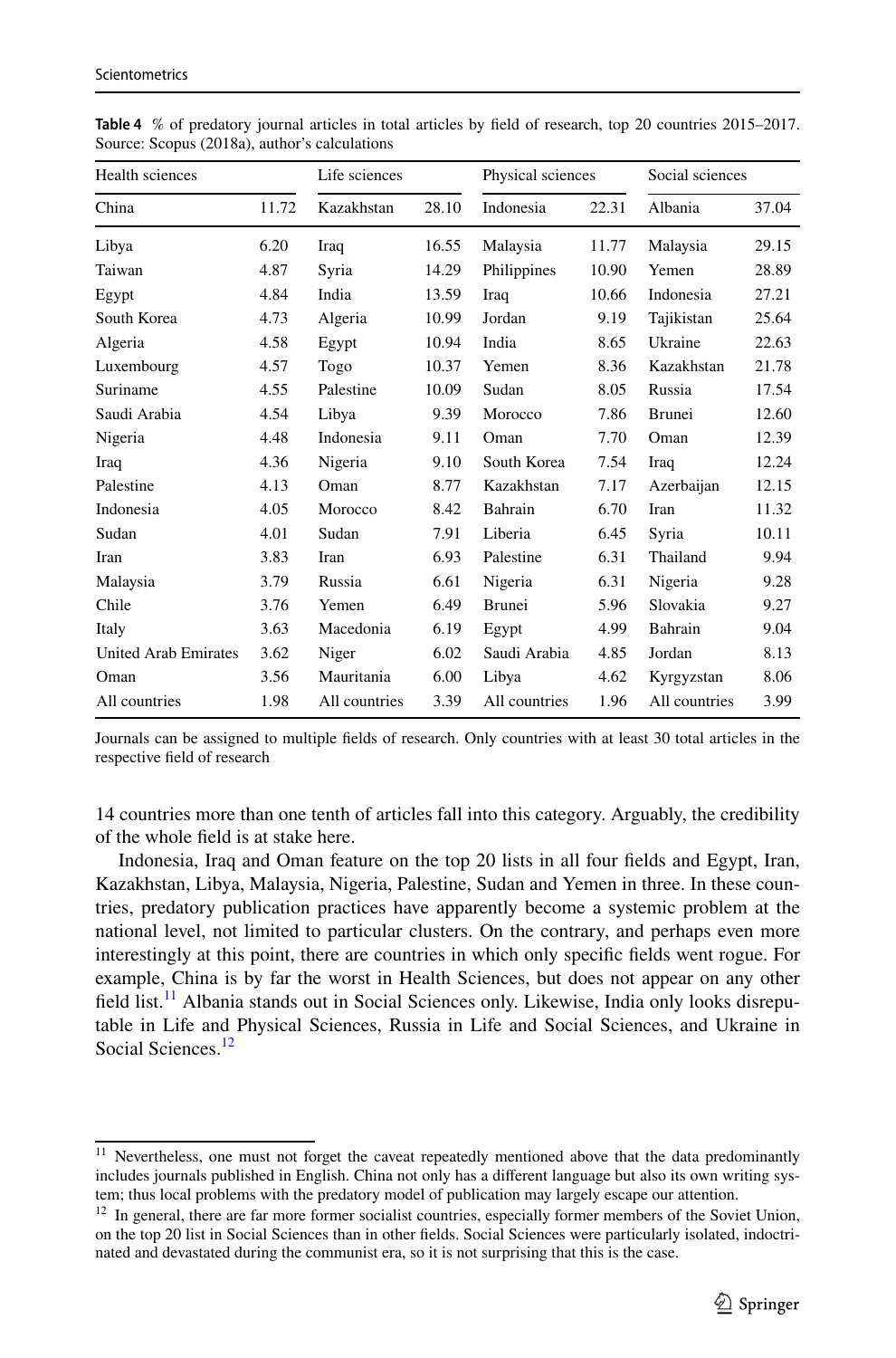| Health sciences             |       | Life sciences |       | Physical sciences |       | Social sciences |       |
|-----------------------------|-------|---------------|-------|-------------------|-------|-----------------|-------|
| China                       | 11.72 | Kazakhstan    | 28.10 | Indonesia         | 22.31 | Albania         | 37.04 |
| Libya                       | 6.20  | Iraq          | 16.55 | Malaysia          | 11.77 | Malaysia        | 29.15 |
| Taiwan                      | 4.87  | Syria         | 14.29 | Philippines       | 10.90 | Yemen           | 28.89 |
| Egypt                       | 4.84  | India         | 13.59 | Iraq              | 10.66 | Indonesia       | 27.21 |
| South Korea                 | 4.73  | Algeria       | 10.99 | Jordan            | 9.19  | Tajikistan      | 25.64 |
| Algeria                     | 4.58  | Egypt         | 10.94 | India             | 8.65  | Ukraine         | 22.63 |
| Luxembourg                  | 4.57  | Togo          | 10.37 | Yemen             | 8.36  | Kazakhstan      | 21.78 |
| Suriname                    | 4.55  | Palestine     | 10.09 | Sudan             | 8.05  | Russia          | 17.54 |
| Saudi Arabia                | 4.54  | Libya         | 9.39  | Morocco           | 7.86  | <b>Brunei</b>   | 12.60 |
| Nigeria                     | 4.48  | Indonesia     | 9.11  | Oman              | 7.70  | Oman            | 12.39 |
| Iraq                        | 4.36  | Nigeria       | 9.10  | South Korea       | 7.54  | Iraq            | 12.24 |
| Palestine                   | 4.13  | Oman          | 8.77  | Kazakhstan        | 7.17  | Azerbaijan      | 12.15 |
| Indonesia                   | 4.05  | Morocco       | 8.42  | Bahrain           | 6.70  | Iran            | 11.32 |
| Sudan                       | 4.01  | Sudan         | 7.91  | Liberia           | 6.45  | Syria           | 10.11 |
| Iran                        | 3.83  | Iran          | 6.93  | Palestine         | 6.31  | Thailand        | 9.94  |
| Malaysia                    | 3.79  | Russia        | 6.61  | Nigeria           | 6.31  | Nigeria         | 9.28  |
| Chile                       | 3.76  | Yemen         | 6.49  | Brunei            | 5.96  | Slovakia        | 9.27  |
| Italy                       | 3.63  | Macedonia     | 6.19  | Egypt             | 4.99  | Bahrain         | 9.04  |
| <b>United Arab Emirates</b> | 3.62  | Niger         | 6.02  | Saudi Arabia      | 4.85  | Jordan          | 8.13  |
| Oman                        | 3.56  | Mauritania    | 6.00  | Libya             | 4.62  | Kyrgyzstan      | 8.06  |
| All countries               | 1.98  | All countries | 3.39  | All countries     | 1.96  | All countries   | 3.99  |

<span id="page-14-0"></span>**Table 4** % of predatory journal articles in total articles by feld of research, top 20 countries 2015–2017. Source: Scopus (2018a), author's calculations

Journals can be assigned to multiple felds of research. Only countries with at least 30 total articles in the respective feld of research

14 countries more than one tenth of articles fall into this category. Arguably, the credibility of the whole feld is at stake here.

Indonesia, Iraq and Oman feature on the top 20 lists in all four felds and Egypt, Iran, Kazakhstan, Libya, Malaysia, Nigeria, Palestine, Sudan and Yemen in three. In these countries, predatory publication practices have apparently become a systemic problem at the national level, not limited to particular clusters. On the contrary, and perhaps even more interestingly at this point, there are countries in which only specifc felds went rogue. For example, China is by far the worst in Health Sciences, but does not appear on any other field list.<sup>11</sup> Albania stands out in Social Sciences only. Likewise, India only looks disreputable in Life and Physical Sciences, Russia in Life and Social Sciences, and Ukraine in Social Sciences<sup>[12](#page-14-2)</sup>

<span id="page-14-1"></span><sup>&</sup>lt;sup>11</sup> Nevertheless, one must not forget the caveat repeatedly mentioned above that the data predominantly includes journals published in English. China not only has a diferent language but also its own writing system; thus local problems with the predatory model of publication may largely escape our attention.

<span id="page-14-2"></span> $12$  In general, there are far more former socialist countries, especially former members of the Soviet Union, on the top 20 list in Social Sciences than in other felds. Social Sciences were particularly isolated, indoctrinated and devastated during the communist era, so it is not surprising that this is the case.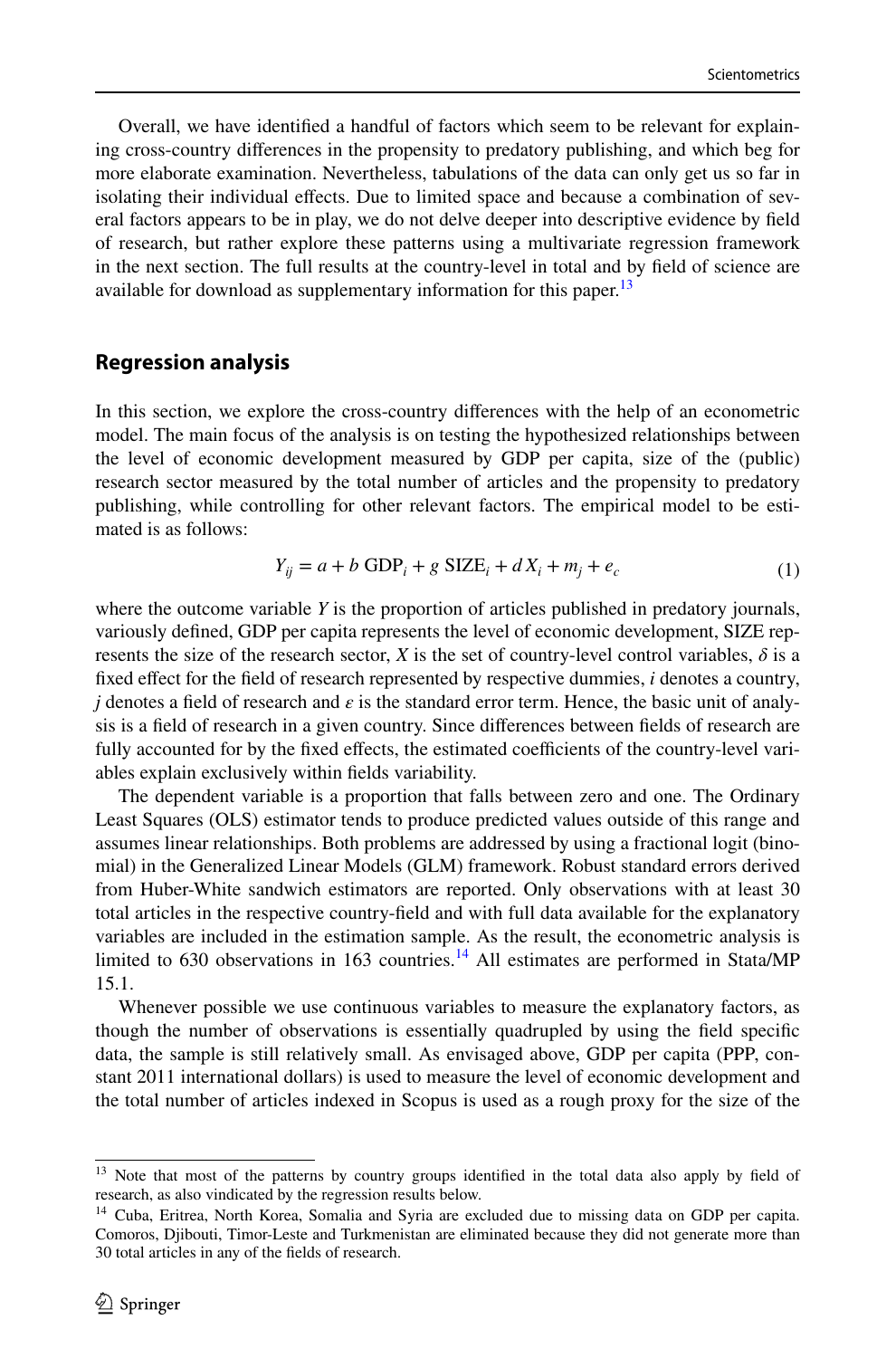Overall, we have identifed a handful of factors which seem to be relevant for explaining cross-country diferences in the propensity to predatory publishing, and which beg for more elaborate examination. Nevertheless, tabulations of the data can only get us so far in isolating their individual efects. Due to limited space and because a combination of several factors appears to be in play, we do not delve deeper into descriptive evidence by feld of research, but rather explore these patterns using a multivariate regression framework in the next section. The full results at the country-level in total and by feld of science are available for download as supplementary information for this paper.<sup>[13](#page-15-0)</sup>

## **Regression analysis**

In this section, we explore the cross-country diferences with the help of an econometric model. The main focus of the analysis is on testing the hypothesized relationships between the level of economic development measured by GDP per capita, size of the (public) research sector measured by the total number of articles and the propensity to predatory publishing, while controlling for other relevant factors. The empirical model to be estimated is as follows:

$$
Y_{ij} = a + b \text{ GDP}_i + g \text{ SIZE}_i + dX_i + m_j + e_c \tag{1}
$$

where the outcome variable *Y* is the proportion of articles published in predatory journals, variously defned, GDP per capita represents the level of economic development, SIZE represents the size of the research sector, *X* is the set of country-level control variables,  $\delta$  is a fxed efect for the feld of research represented by respective dummies, *i* denotes a country, *j* denotes a feld of research and *ε* is the standard error term. Hence, the basic unit of analysis is a feld of research in a given country. Since diferences between felds of research are fully accounted for by the fixed effects, the estimated coefficients of the country-level variables explain exclusively within felds variability.

The dependent variable is a proportion that falls between zero and one. The Ordinary Least Squares (OLS) estimator tends to produce predicted values outside of this range and assumes linear relationships. Both problems are addressed by using a fractional logit (binomial) in the Generalized Linear Models (GLM) framework. Robust standard errors derived from Huber-White sandwich estimators are reported. Only observations with at least 30 total articles in the respective country-feld and with full data available for the explanatory variables are included in the estimation sample. As the result, the econometric analysis is limited to 630 observations in 163 countries.<sup>[14](#page-15-1)</sup> All estimates are performed in Stata/MP 15.1.

Whenever possible we use continuous variables to measure the explanatory factors, as though the number of observations is essentially quadrupled by using the feld specifc data, the sample is still relatively small. As envisaged above, GDP per capita (PPP, constant 2011 international dollars) is used to measure the level of economic development and the total number of articles indexed in Scopus is used as a rough proxy for the size of the

<span id="page-15-0"></span><sup>&</sup>lt;sup>13</sup> Note that most of the patterns by country groups identified in the total data also apply by field of research, as also vindicated by the regression results below.

<span id="page-15-1"></span><sup>&</sup>lt;sup>14</sup> Cuba, Eritrea, North Korea, Somalia and Syria are excluded due to missing data on GDP per capita. Comoros, Djibouti, Timor-Leste and Turkmenistan are eliminated because they did not generate more than 30 total articles in any of the felds of research.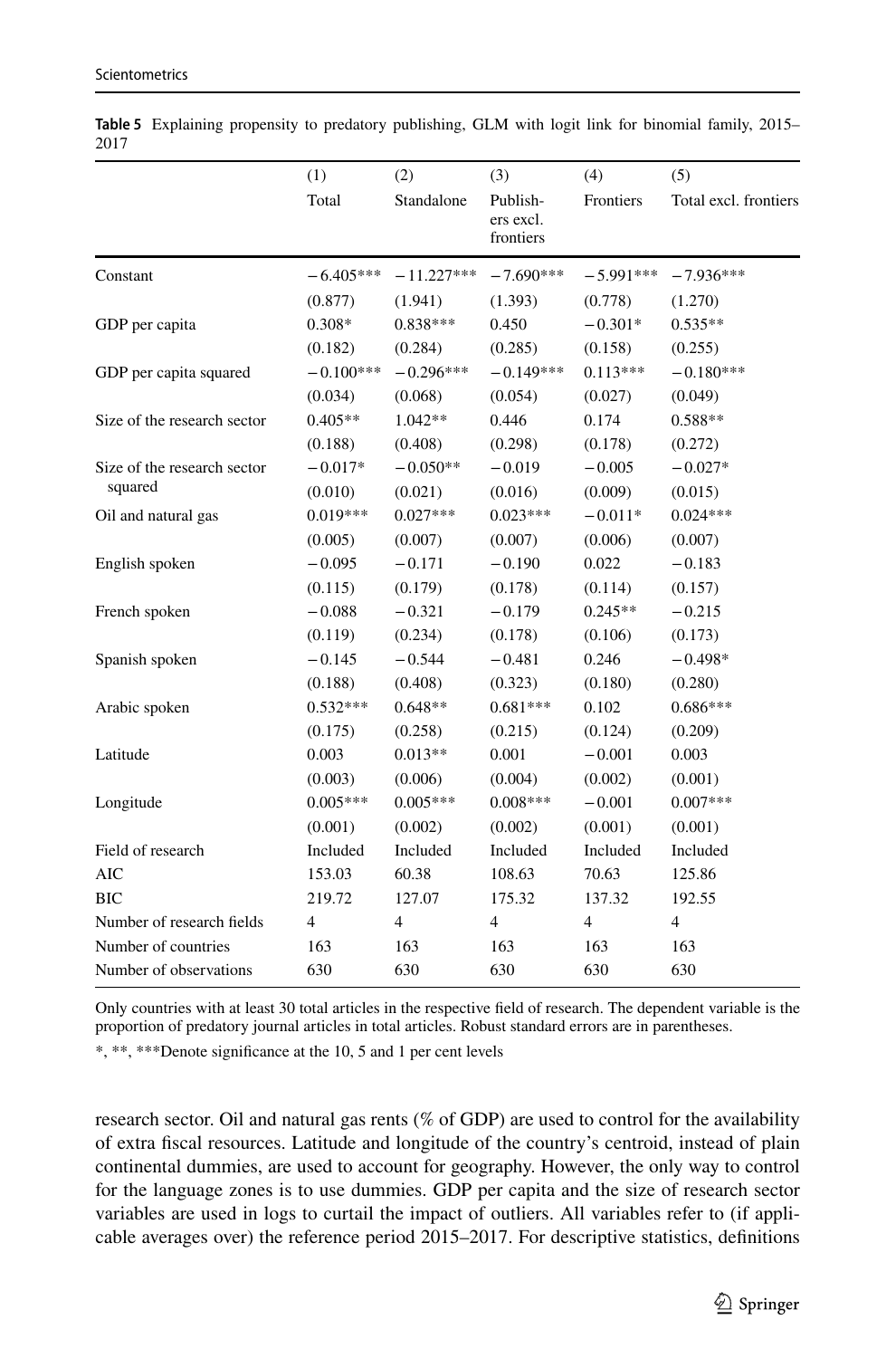|                             | (1)            | (2)            | (3)                                | (4)            | (5)                   |
|-----------------------------|----------------|----------------|------------------------------------|----------------|-----------------------|
|                             | Total          | Standalone     | Publish-<br>ers excl.<br>frontiers | Frontiers      | Total excl. frontiers |
| Constant                    | $-6.405***$    | $-11.227***$   | $-7.690***$                        | $-5.991***$    | $-7.936***$           |
|                             | (0.877)        | (1.941)        | (1.393)                            | (0.778)        | (1.270)               |
| GDP per capita              | 0.308*         | $0.838***$     | 0.450                              | $-0.301*$      | $0.535**$             |
|                             | (0.182)        | (0.284)        | (0.285)                            | (0.158)        | (0.255)               |
| GDP per capita squared      | $-0.100***$    | $-0.296***$    | $-0.149***$                        | $0.113***$     | $-0.180***$           |
|                             | (0.034)        | (0.068)        | (0.054)                            | (0.027)        | (0.049)               |
| Size of the research sector | $0.405**$      | $1.042**$      | 0.446                              | 0.174          | $0.588**$             |
|                             | (0.188)        | (0.408)        | (0.298)                            | (0.178)        | (0.272)               |
| Size of the research sector | $-0.017*$      | $-0.050**$     | $-0.019$                           | $-0.005$       | $-0.027*$             |
| squared                     | (0.010)        | (0.021)        | (0.016)                            | (0.009)        | (0.015)               |
| Oil and natural gas         | $0.019***$     | $0.027***$     | $0.023***$                         | $-0.011*$      | $0.024***$            |
|                             | (0.005)        | (0.007)        | (0.007)                            | (0.006)        | (0.007)               |
| English spoken              | $-0.095$       | $-0.171$       | $-0.190$                           | 0.022          | $-0.183$              |
|                             | (0.115)        | (0.179)        | (0.178)                            | (0.114)        | (0.157)               |
| French spoken               | $-0.088$       | $-0.321$       | $-0.179$                           | $0.245**$      | $-0.215$              |
|                             | (0.119)        | (0.234)        | (0.178)                            | (0.106)        | (0.173)               |
| Spanish spoken              | $-0.145$       | $-0.544$       | $-0.481$                           | 0.246          | $-0.498*$             |
|                             | (0.188)        | (0.408)        | (0.323)                            | (0.180)        | (0.280)               |
| Arabic spoken               | $0.532***$     | $0.648**$      | $0.681***$                         | 0.102          | $0.686***$            |
|                             | (0.175)        | (0.258)        | (0.215)                            | (0.124)        | (0.209)               |
| Latitude                    | 0.003          | $0.013**$      | 0.001                              | $-0.001$       | 0.003                 |
|                             | (0.003)        | (0.006)        | (0.004)                            | (0.002)        | (0.001)               |
| Longitude                   | $0.005***$     | $0.005***$     | $0.008***$                         | $-0.001$       | $0.007***$            |
|                             | (0.001)        | (0.002)        | (0.002)                            | (0.001)        | (0.001)               |
| Field of research           | Included       | Included       | Included                           | Included       | Included              |
| <b>AIC</b>                  | 153.03         | 60.38          | 108.63                             | 70.63          | 125.86                |
| <b>BIC</b>                  | 219.72         | 127.07         | 175.32                             | 137.32         | 192.55                |
| Number of research fields   | $\overline{4}$ | $\overline{4}$ | $\overline{4}$                     | $\overline{4}$ | $\overline{4}$        |
| Number of countries         | 163            | 163            | 163                                | 163            | 163                   |
| Number of observations      | 630            | 630            | 630                                | 630            | 630                   |

<span id="page-16-0"></span>**Table 5** Explaining propensity to predatory publishing, GLM with logit link for binomial family, 2015– 2017

Only countries with at least 30 total articles in the respective feld of research. The dependent variable is the proportion of predatory journal articles in total articles. Robust standard errors are in parentheses.

\*, \*\*, \*\*\*Denote signifcance at the 10, 5 and 1 per cent levels

research sector. Oil and natural gas rents (% of GDP) are used to control for the availability of extra fscal resources. Latitude and longitude of the country's centroid, instead of plain continental dummies, are used to account for geography. However, the only way to control for the language zones is to use dummies. GDP per capita and the size of research sector variables are used in logs to curtail the impact of outliers. All variables refer to (if applicable averages over) the reference period 2015–2017. For descriptive statistics, defnitions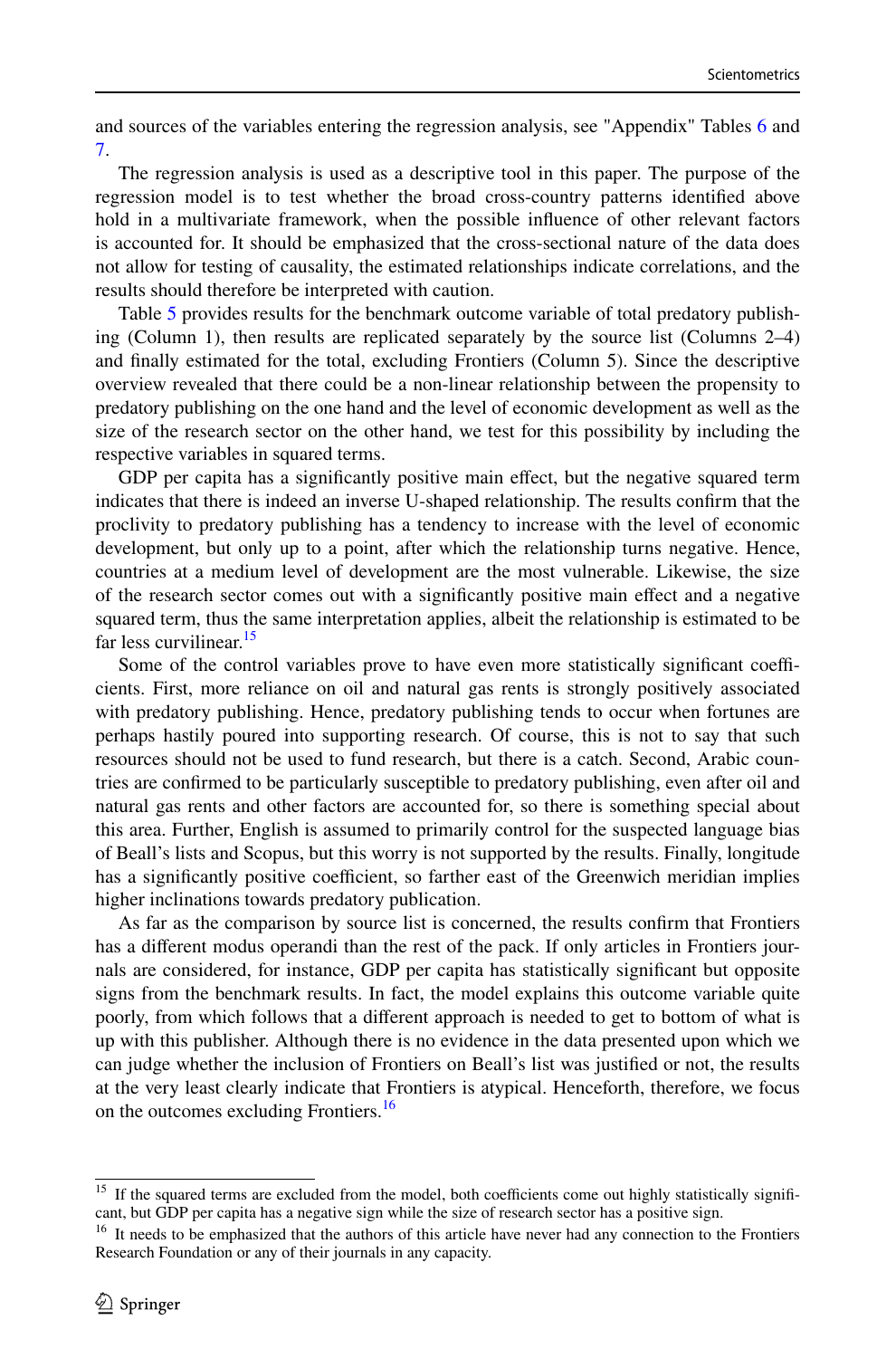and sources of the variables entering the regression analysis, see "Appendix" Tables [6](#page-21-0) and [7.](#page-22-0)

The regression analysis is used as a descriptive tool in this paper. The purpose of the regression model is to test whether the broad cross-country patterns identifed above hold in a multivariate framework, when the possible infuence of other relevant factors is accounted for. It should be emphasized that the cross-sectional nature of the data does not allow for testing of causality, the estimated relationships indicate correlations, and the results should therefore be interpreted with caution.

Table [5](#page-16-0) provides results for the benchmark outcome variable of total predatory publishing (Column 1), then results are replicated separately by the source list (Columns 2–4) and fnally estimated for the total, excluding Frontiers (Column 5). Since the descriptive overview revealed that there could be a non-linear relationship between the propensity to predatory publishing on the one hand and the level of economic development as well as the size of the research sector on the other hand, we test for this possibility by including the respective variables in squared terms.

GDP per capita has a significantly positive main effect, but the negative squared term indicates that there is indeed an inverse U-shaped relationship. The results confrm that the proclivity to predatory publishing has a tendency to increase with the level of economic development, but only up to a point, after which the relationship turns negative. Hence, countries at a medium level of development are the most vulnerable. Likewise, the size of the research sector comes out with a signifcantly positive main efect and a negative squared term, thus the same interpretation applies, albeit the relationship is estimated to be far less curvilinear.<sup>15</sup>

Some of the control variables prove to have even more statistically significant coefficients. First, more reliance on oil and natural gas rents is strongly positively associated with predatory publishing. Hence, predatory publishing tends to occur when fortunes are perhaps hastily poured into supporting research. Of course, this is not to say that such resources should not be used to fund research, but there is a catch. Second, Arabic countries are confrmed to be particularly susceptible to predatory publishing, even after oil and natural gas rents and other factors are accounted for, so there is something special about this area. Further, English is assumed to primarily control for the suspected language bias of Beall's lists and Scopus, but this worry is not supported by the results. Finally, longitude has a significantly positive coefficient, so farther east of the Greenwich meridian implies higher inclinations towards predatory publication.

As far as the comparison by source list is concerned, the results confrm that Frontiers has a diferent modus operandi than the rest of the pack. If only articles in Frontiers journals are considered, for instance, GDP per capita has statistically signifcant but opposite signs from the benchmark results. In fact, the model explains this outcome variable quite poorly, from which follows that a diferent approach is needed to get to bottom of what is up with this publisher. Although there is no evidence in the data presented upon which we can judge whether the inclusion of Frontiers on Beall's list was justifed or not, the results at the very least clearly indicate that Frontiers is atypical. Henceforth, therefore, we focus on the outcomes excluding Frontiers.<sup>[16](#page-17-1)</sup>

<span id="page-17-0"></span><sup>&</sup>lt;sup>15</sup> If the squared terms are excluded from the model, both coefficients come out highly statistically significant, but GDP per capita has a negative sign while the size of research sector has a positive sign.

<span id="page-17-1"></span><sup>&</sup>lt;sup>16</sup> It needs to be emphasized that the authors of this article have never had any connection to the Frontiers Research Foundation or any of their journals in any capacity.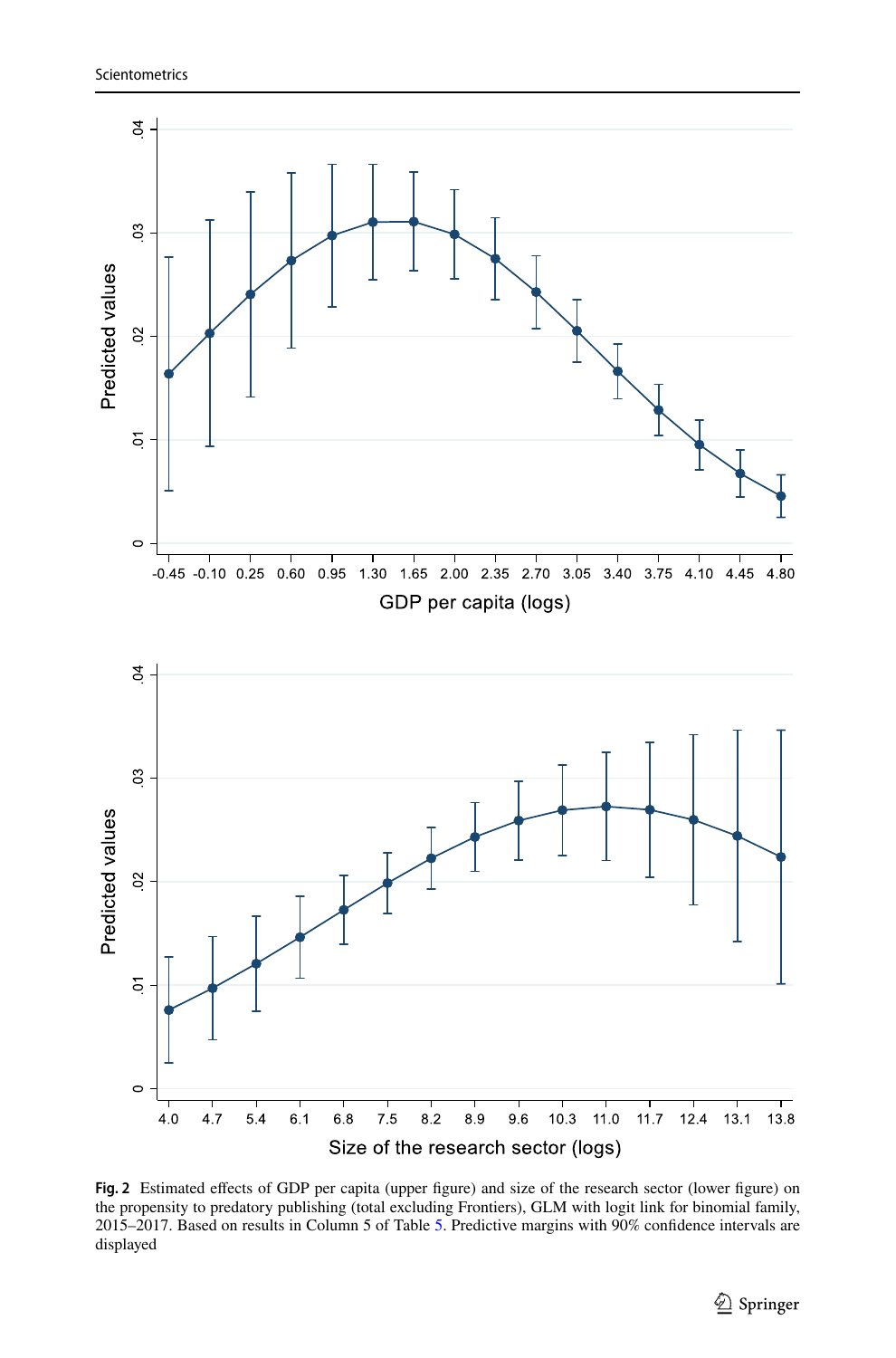

<span id="page-18-0"></span>Fig. 2 Estimated effects of GDP per capita (upper figure) and size of the research sector (lower figure) on the propensity to predatory publishing (total excluding Frontiers), GLM with logit link for binomial family, 2015–2017. Based on results in Column 5 of Table [5](#page-16-0). Predictive margins with 90% confdence intervals are displayed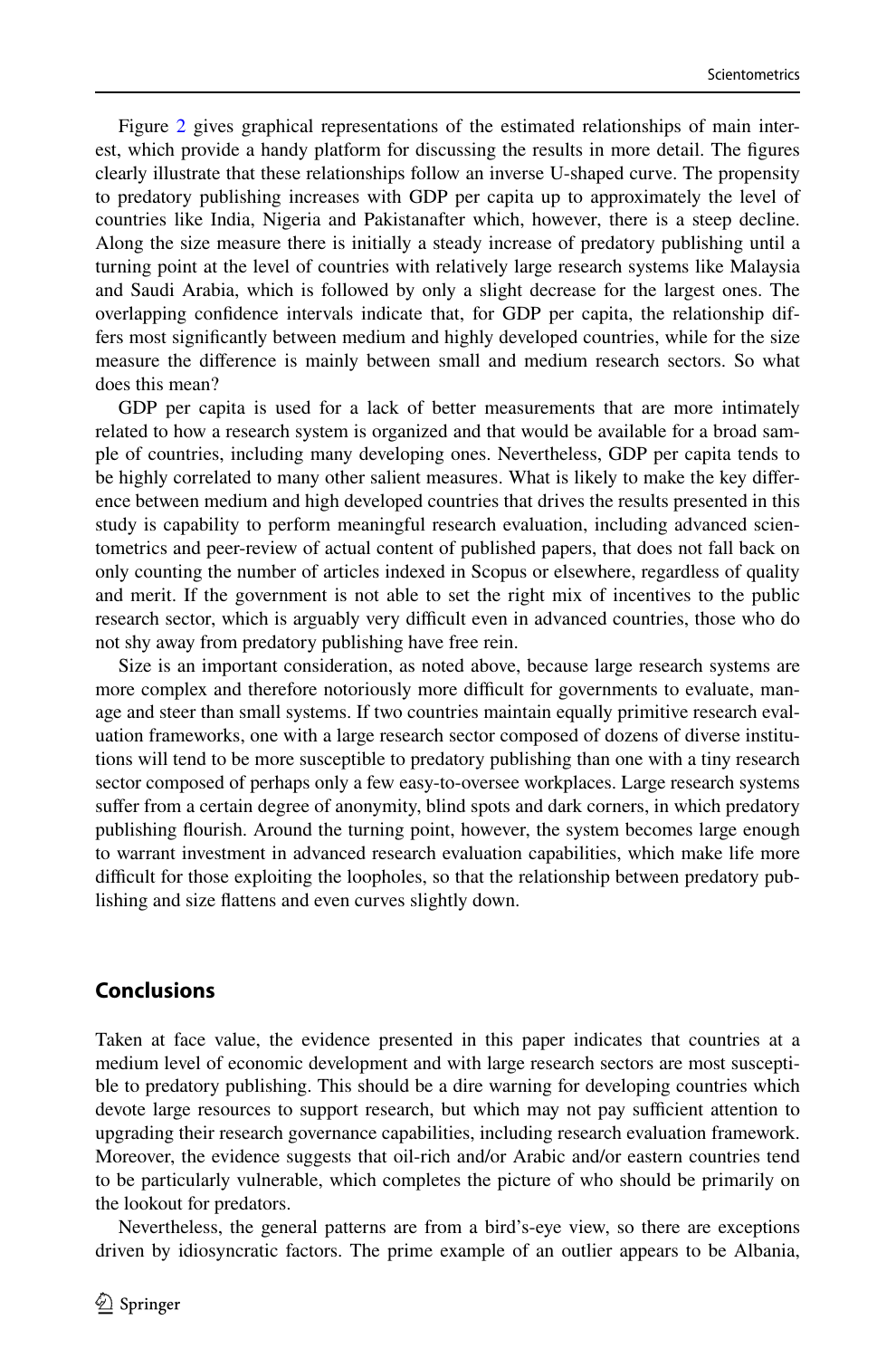Figure [2](#page-18-0) gives graphical representations of the estimated relationships of main interest, which provide a handy platform for discussing the results in more detail. The fgures clearly illustrate that these relationships follow an inverse U-shaped curve. The propensity to predatory publishing increases with GDP per capita up to approximately the level of countries like India, Nigeria and Pakistanafter which, however, there is a steep decline. Along the size measure there is initially a steady increase of predatory publishing until a turning point at the level of countries with relatively large research systems like Malaysia and Saudi Arabia, which is followed by only a slight decrease for the largest ones. The overlapping confdence intervals indicate that, for GDP per capita, the relationship differs most signifcantly between medium and highly developed countries, while for the size measure the diference is mainly between small and medium research sectors. So what does this mean?

GDP per capita is used for a lack of better measurements that are more intimately related to how a research system is organized and that would be available for a broad sample of countries, including many developing ones. Nevertheless, GDP per capita tends to be highly correlated to many other salient measures. What is likely to make the key diference between medium and high developed countries that drives the results presented in this study is capability to perform meaningful research evaluation, including advanced scientometrics and peer-review of actual content of published papers, that does not fall back on only counting the number of articles indexed in Scopus or elsewhere, regardless of quality and merit. If the government is not able to set the right mix of incentives to the public research sector, which is arguably very difficult even in advanced countries, those who do not shy away from predatory publishing have free rein.

Size is an important consideration, as noted above, because large research systems are more complex and therefore notoriously more difficult for governments to evaluate, manage and steer than small systems. If two countries maintain equally primitive research evaluation frameworks, one with a large research sector composed of dozens of diverse institutions will tend to be more susceptible to predatory publishing than one with a tiny research sector composed of perhaps only a few easy-to-oversee workplaces. Large research systems sufer from a certain degree of anonymity, blind spots and dark corners, in which predatory publishing fourish. Around the turning point, however, the system becomes large enough to warrant investment in advanced research evaluation capabilities, which make life more difficult for those exploiting the loopholes, so that the relationship between predatory publishing and size fattens and even curves slightly down.

# **Conclusions**

Taken at face value, the evidence presented in this paper indicates that countries at a medium level of economic development and with large research sectors are most susceptible to predatory publishing. This should be a dire warning for developing countries which devote large resources to support research, but which may not pay sufficient attention to upgrading their research governance capabilities, including research evaluation framework. Moreover, the evidence suggests that oil-rich and/or Arabic and/or eastern countries tend to be particularly vulnerable, which completes the picture of who should be primarily on the lookout for predators.

Nevertheless, the general patterns are from a bird's-eye view, so there are exceptions driven by idiosyncratic factors. The prime example of an outlier appears to be Albania,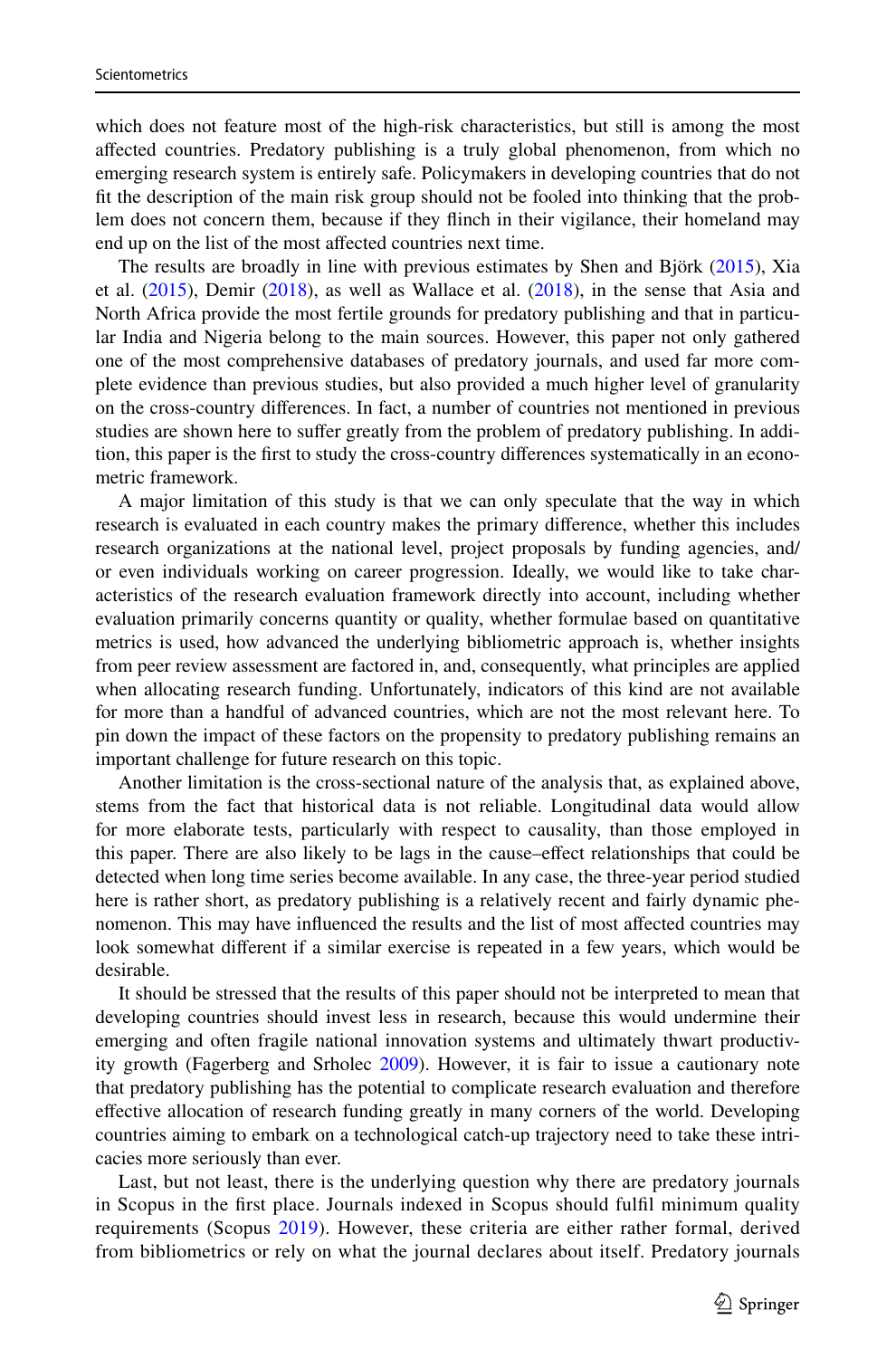which does not feature most of the high-risk characteristics, but still is among the most afected countries. Predatory publishing is a truly global phenomenon, from which no emerging research system is entirely safe. Policymakers in developing countries that do not ft the description of the main risk group should not be fooled into thinking that the problem does not concern them, because if they finch in their vigilance, their homeland may end up on the list of the most afected countries next time.

The results are broadly in line with previous estimates by Shen and Björk [\(2015](#page-23-7)), Xia et al. ([2015\)](#page-24-0), Demir ([2018\)](#page-23-3), as well as Wallace et al. [\(2018](#page-24-1)), in the sense that Asia and North Africa provide the most fertile grounds for predatory publishing and that in particular India and Nigeria belong to the main sources. However, this paper not only gathered one of the most comprehensive databases of predatory journals, and used far more complete evidence than previous studies, but also provided a much higher level of granularity on the cross-country diferences. In fact, a number of countries not mentioned in previous studies are shown here to suffer greatly from the problem of predatory publishing. In addition, this paper is the frst to study the cross-country diferences systematically in an econometric framework.

A major limitation of this study is that we can only speculate that the way in which research is evaluated in each country makes the primary diference, whether this includes research organizations at the national level, project proposals by funding agencies, and/ or even individuals working on career progression. Ideally, we would like to take characteristics of the research evaluation framework directly into account, including whether evaluation primarily concerns quantity or quality, whether formulae based on quantitative metrics is used, how advanced the underlying bibliometric approach is, whether insights from peer review assessment are factored in, and, consequently, what principles are applied when allocating research funding. Unfortunately, indicators of this kind are not available for more than a handful of advanced countries, which are not the most relevant here. To pin down the impact of these factors on the propensity to predatory publishing remains an important challenge for future research on this topic.

Another limitation is the cross-sectional nature of the analysis that, as explained above, stems from the fact that historical data is not reliable. Longitudinal data would allow for more elaborate tests, particularly with respect to causality, than those employed in this paper. There are also likely to be lags in the cause–efect relationships that could be detected when long time series become available. In any case, the three-year period studied here is rather short, as predatory publishing is a relatively recent and fairly dynamic phenomenon. This may have infuenced the results and the list of most afected countries may look somewhat diferent if a similar exercise is repeated in a few years, which would be desirable.

It should be stressed that the results of this paper should not be interpreted to mean that developing countries should invest less in research, because this would undermine their emerging and often fragile national innovation systems and ultimately thwart productivity growth (Fagerberg and Srholec [2009](#page-23-27)). However, it is fair to issue a cautionary note that predatory publishing has the potential to complicate research evaluation and therefore efective allocation of research funding greatly in many corners of the world. Developing countries aiming to embark on a technological catch-up trajectory need to take these intricacies more seriously than ever.

Last, but not least, there is the underlying question why there are predatory journals in Scopus in the frst place. Journals indexed in Scopus should fulfl minimum quality requirements (Scopus [2019](#page-23-22)). However, these criteria are either rather formal, derived from bibliometrics or rely on what the journal declares about itself. Predatory journals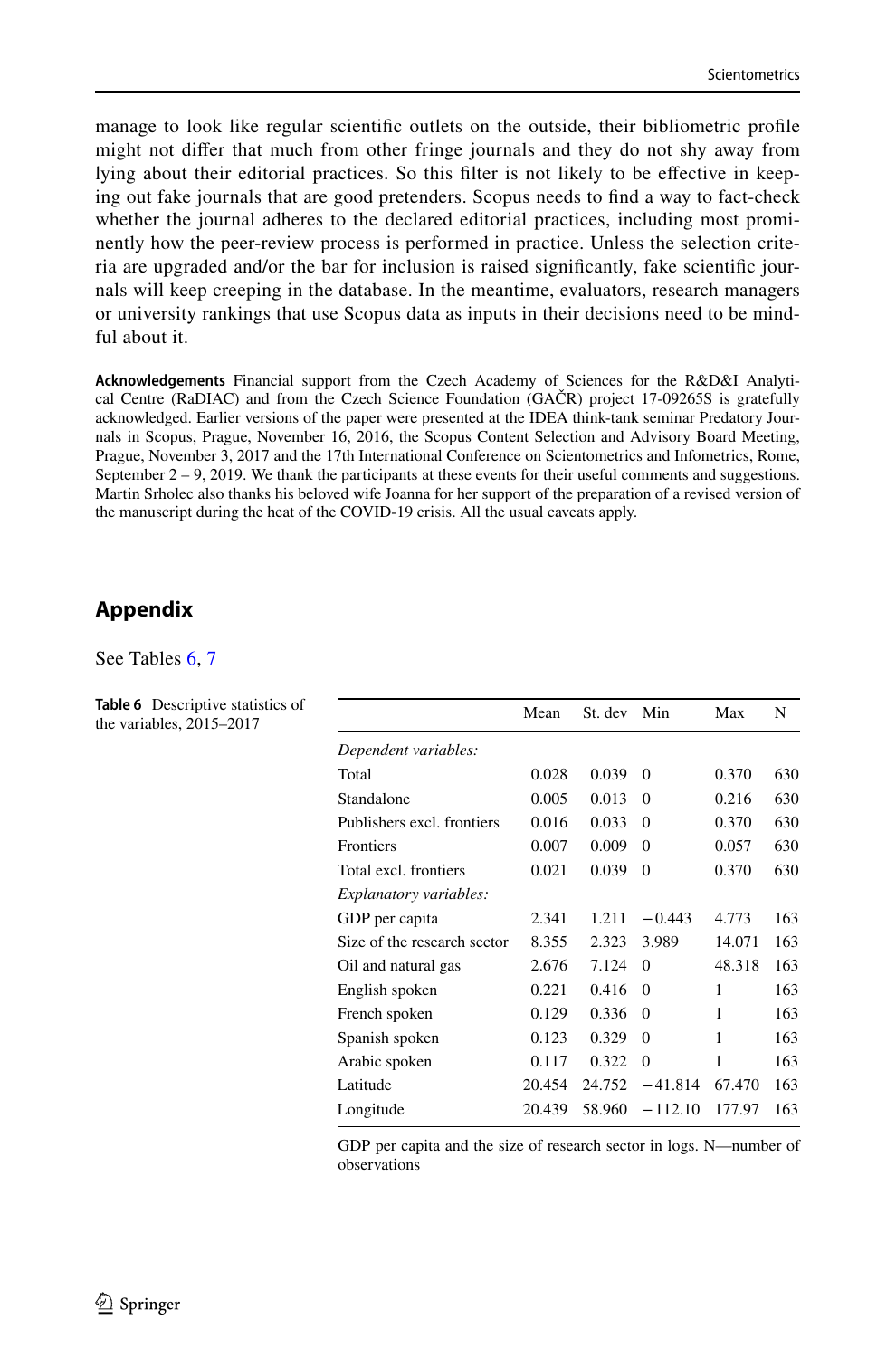manage to look like regular scientifc outlets on the outside, their bibliometric profle might not difer that much from other fringe journals and they do not shy away from lying about their editorial practices. So this flter is not likely to be efective in keeping out fake journals that are good pretenders. Scopus needs to fnd a way to fact-check whether the journal adheres to the declared editorial practices, including most prominently how the peer-review process is performed in practice. Unless the selection criteria are upgraded and/or the bar for inclusion is raised signifcantly, fake scientifc journals will keep creeping in the database. In the meantime, evaluators, research managers or university rankings that use Scopus data as inputs in their decisions need to be mindful about it.

**Acknowledgements** Financial support from the Czech Academy of Sciences for the R&D&I Analytical Centre (RaDIAC) and from the Czech Science Foundation (GAČR) project 17-09265S is gratefully acknowledged. Earlier versions of the paper were presented at the IDEA think-tank seminar Predatory Journals in Scopus, Prague, November 16, 2016, the Scopus Content Selection and Advisory Board Meeting, Prague, November 3, 2017 and the 17th International Conference on Scientometrics and Infometrics, Rome, September  $2 - 9$ , 2019. We thank the participants at these events for their useful comments and suggestions. Martin Srholec also thanks his beloved wife Joanna for her support of the preparation of a revised version of the manuscript during the heat of the COVID-19 crisis. All the usual caveats apply.

# **Appendix**

See Tables [6,](#page-21-0) [7](#page-22-0)

<span id="page-21-0"></span>**Table 6** Descriptive statistics of the variables, 2015–2017

|                             | Mean   | St. dev | Min       | Max    | N   |
|-----------------------------|--------|---------|-----------|--------|-----|
| Dependent variables:        |        |         |           |        |     |
| Total                       | 0.028  | 0.039   | $\Omega$  | 0.370  | 630 |
| Standalone                  | 0.005  | 0.013   | $\Omega$  | 0.216  | 630 |
| Publishers excl. frontiers  | 0.016  | 0.033   | $\theta$  | 0.370  | 630 |
| <b>Frontiers</b>            | 0.007  | 0.009   | $\Omega$  | 0.057  | 630 |
| Total excl. frontiers       | 0.021  | 0.039   | $\theta$  | 0.370  | 630 |
| Explanatory variables:      |        |         |           |        |     |
| GDP per capita              | 2.341  | 1.211   | $-0.443$  | 4.773  | 163 |
| Size of the research sector | 8.355  | 2.323   | 3.989     | 14.071 | 163 |
| Oil and natural gas         | 2.676  | 7.124   | $\Omega$  | 48.318 | 163 |
| English spoken              | 0.221  | 0.416   | $\Omega$  | 1      | 163 |
| French spoken               | 0.129  | 0.336   | $\Omega$  | 1      | 163 |
| Spanish spoken              | 0.123  | 0.329   | $\Omega$  | 1      | 163 |
| Arabic spoken               | 0.117  | 0.322   | $\Omega$  | 1      | 163 |
| Latitude                    | 20.454 | 24.752  | $-41.814$ | 67.470 | 163 |
| Longitude                   | 20.439 | 58.960  | $-112.10$ | 177.97 | 163 |

GDP per capita and the size of research sector in logs. N—number of observations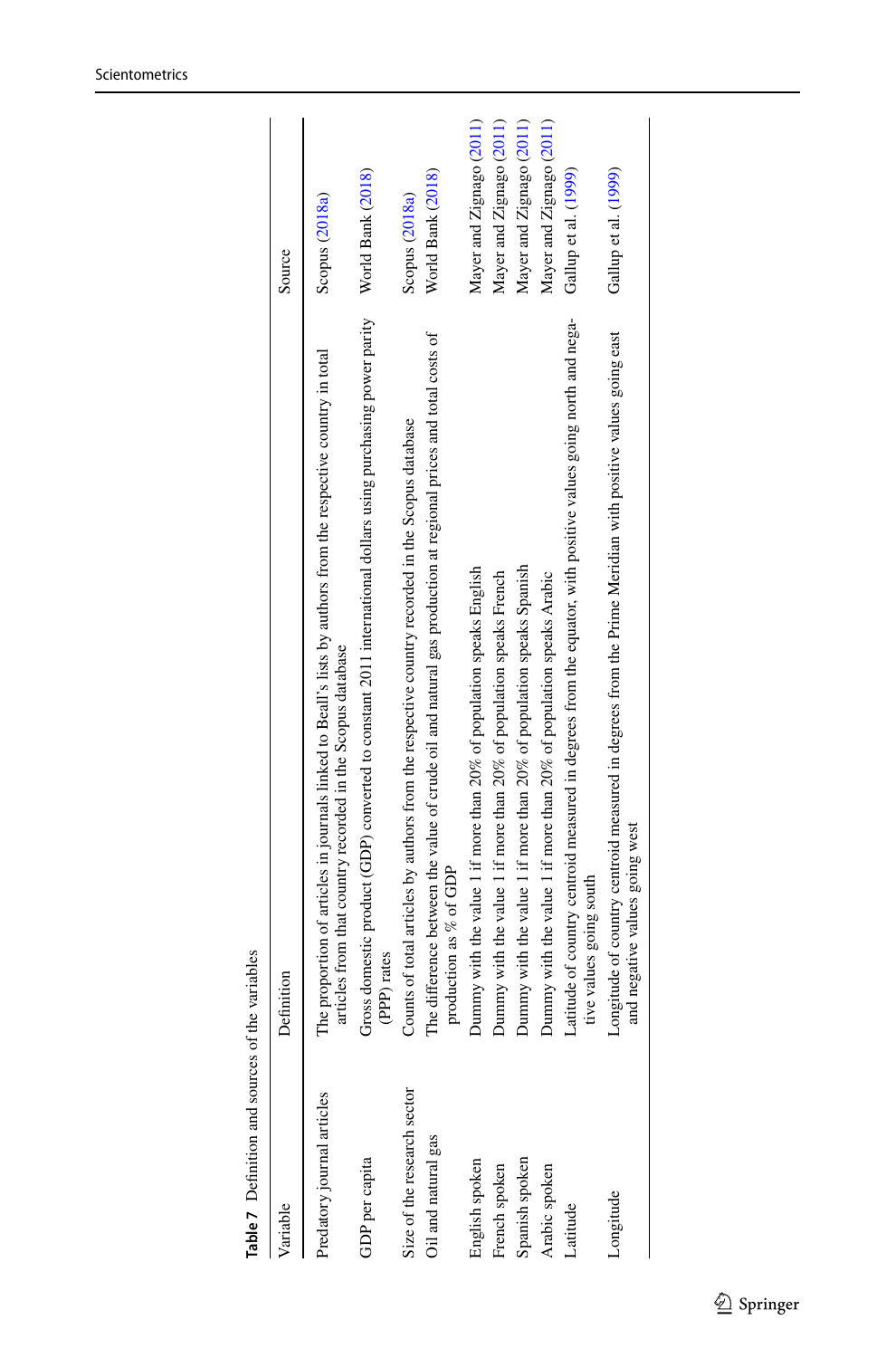<span id="page-22-0"></span>

| Table 7 Definition and sources of | the variables                                                                                                                                                                |                          |
|-----------------------------------|------------------------------------------------------------------------------------------------------------------------------------------------------------------------------|--------------------------|
| Variable                          | Definition                                                                                                                                                                   | Source                   |
| Predatory journal articles        | The proportion of articles in journals linked to Beall's lists by authors from the respective country in total<br>articles from that country recorded in the Scopus database | Scopus (2018a)           |
| GDP per capita                    | Gross domestic product (GDP) converted to constant 2011 international dollars using purchasing power parity<br>(PPP) rates                                                   | World Bank (2018)        |
| Size of the research sector       | Counts of total articles by authors from the respective country recorded in the Scopus database                                                                              | Scopus (2018a)           |
| Oil and natural gas               | The difference between the value of crude oil and natural gas production at regional prices and total costs of<br>production as % of GDP                                     | World Bank (2018)        |
| English spoken                    | Dummy with the value 1 if more than 20% of population speaks English                                                                                                         | Mayer and Zignago (2011) |
| French spoken                     | Dummy with the value 1 if more than 20% of population speaks French                                                                                                          | Mayer and Zignago (2011) |
| Spanish spoken                    | Dummy with the value 1 if more than 20% of population speaks Spanish                                                                                                         | Mayer and Zignago (2011) |
| Arabic spoken                     | Dummy with the value 1 if more than 20% of population speaks Arabic                                                                                                          | Mayer and Zignago (2011) |
| Latitude                          | Latitude of country centroid measured in degrees from the equator, with positive values going north and nega-<br>tive values going south                                     | Gallup et al. (1999)     |
| ongitude                          | Longitude of country centroid measured in degrees from the Prime Meridian with positive values going east<br>and negative values going west                                  | Gallup et al. (199)      |
|                                   |                                                                                                                                                                              |                          |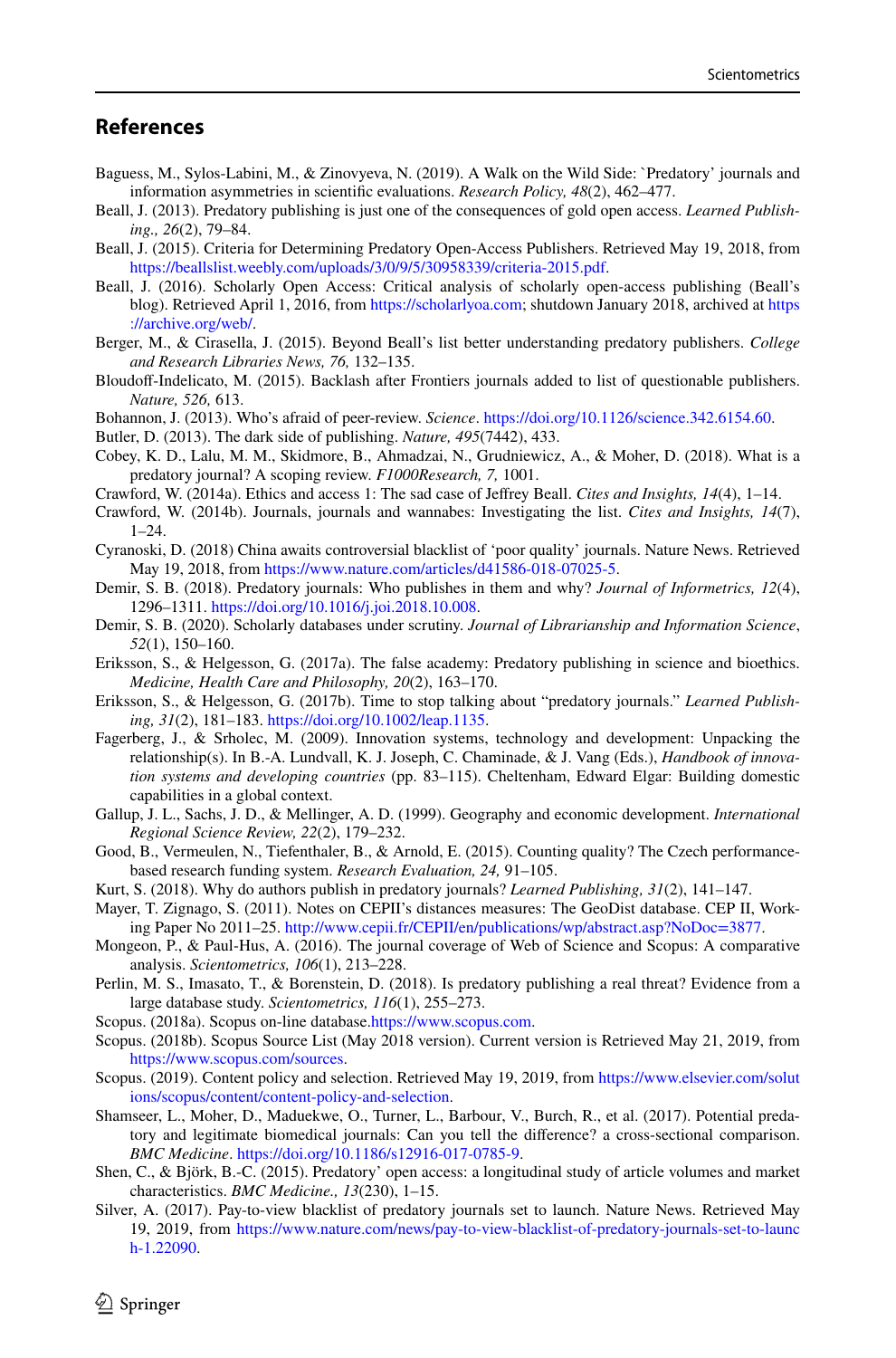# **References**

- <span id="page-23-1"></span>Baguess, M., Sylos-Labini, M., & Zinovyeva, N. (2019). A Walk on the Wild Side: `Predatory' journals and information asymmetries in scientifc evaluations. *Research Policy, 48*(2), 462–477.
- <span id="page-23-0"></span>Beall, J. (2013). Predatory publishing is just one of the consequences of gold open access. *Learned Publishing., 26*(2), 79–84.
- <span id="page-23-10"></span>Beall, J. (2015). Criteria for Determining Predatory Open-Access Publishers. Retrieved May 19, 2018, from <https://beallslist.weebly.com/uploads/3/0/9/5/30958339/criteria-2015.pdf>.
- <span id="page-23-6"></span>Beall, J. (2016). Scholarly Open Access: Critical analysis of scholarly open-access publishing (Beall's blog). Retrieved April 1, 2016, from <https://scholarlyoa.com>; shutdown January 2018, archived at [https](https://archive.org/web/) [://archive.org/web/.](https://archive.org/web/)
- <span id="page-23-18"></span>Berger, M., & Cirasella, J. (2015). Beyond Beall's list better understanding predatory publishers. *College and Research Libraries News, 76,* 132–135.
- <span id="page-23-20"></span>Bloudoff-Indelicato, M. (2015). Backlash after Frontiers journals added to list of questionable publishers. *Nature, 526,* 613.
- <span id="page-23-4"></span>Bohannon, J. (2013). Who's afraid of peer-review. *Science*.<https://doi.org/10.1126/science.342.6154.60>.
- <span id="page-23-5"></span>Butler, D. (2013). The dark side of publishing. *Nature, 495*(7442), 433.
- <span id="page-23-11"></span>Cobey, K. D., Lalu, M. M., Skidmore, B., Ahmadzai, N., Grudniewicz, A., & Moher, D. (2018). What is a predatory journal? A scoping review. *F1000Research, 7,* 1001.
- <span id="page-23-19"></span>Crawford, W. (2014a). Ethics and access 1: The sad case of Jefrey Beall. *Cites and Insights, 14*(4), 1–14.
- <span id="page-23-15"></span>Crawford, W. (2014b). Journals, journals and wannabes: Investigating the list. *Cites and Insights, 14*(7),  $1 - 24$ .
- <span id="page-23-14"></span>Cyranoski, D. (2018) China awaits controversial blacklist of 'poor quality' journals. Nature News. Retrieved May 19, 2018, from <https://www.nature.com/articles/d41586-018-07025-5>.
- <span id="page-23-3"></span>Demir, S. B. (2018). Predatory journals: Who publishes in them and why? *Journal of Informetrics, 12*(4), 1296–1311. [https://doi.org/10.1016/j.joi.2018.10.008.](https://doi.org/10.1016/j.joi.2018.10.008)
- <span id="page-23-25"></span>Demir, S. B. (2020). Scholarly databases under scrutiny. *Journal of Librarianship and Information Science*, *52*(1), 150–160.
- <span id="page-23-12"></span>Eriksson, S., & Helgesson, G. (2017a). The false academy: Predatory publishing in science and bioethics. *Medicine, Health Care and Philosophy, 20*(2), 163–170.
- <span id="page-23-17"></span>Eriksson, S., & Helgesson, G. (2017b). Time to stop talking about "predatory journals." *Learned Publishing, 31*(2), 181–183.<https://doi.org/10.1002/leap.1135>.
- <span id="page-23-27"></span>Fagerberg, J., & Srholec, M. (2009). Innovation systems, technology and development: Unpacking the relationship(s). In B.-A. Lundvall, K. J. Joseph, C. Chaminade, & J. Vang (Eds.), *Handbook of innovation systems and developing countries* (pp. 83–115). Cheltenham, Edward Elgar: Building domestic capabilities in a global context.
- <span id="page-23-28"></span>Gallup, J. L., Sachs, J. D., & Mellinger, A. D. (1999). Geography and economic development. *International Regional Science Review, 22*(2), 179–232.
- <span id="page-23-23"></span>Good, B., Vermeulen, N., Tiefenthaler, B., & Arnold, E. (2015). Counting quality? The Czech performancebased research funding system. *Research Evaluation, 24,* 91–105.
- <span id="page-23-2"></span>Kurt, S. (2018). Why do authors publish in predatory journals? *Learned Publishing, 31*(2), 141–147.
- <span id="page-23-26"></span>Mayer, T. Zignago, S. (2011). Notes on CEPII's distances measures: The GeoDist database. CEP II, Working Paper No 2011–25. [http://www.cepii.fr/CEPII/en/publications/wp/abstract.asp?NoDoc=3877.](http://www.cepii.fr/CEPII/en/publications/wp/abstract.asp?NoDoc=3877)
- <span id="page-23-24"></span>Mongeon, P., & Paul-Hus, A. (2016). The journal coverage of Web of Science and Scopus: A comparative analysis. *Scientometrics, 106*(1), 213–228.
- <span id="page-23-8"></span>Perlin, M. S., Imasato, T., & Borenstein, D. (2018). Is predatory publishing a real threat? Evidence from a large database study. *Scientometrics, 116*(1), 255–273.
- <span id="page-23-9"></span>Scopus. (2018a). Scopus on-line database[.https://www.scopus.com.](https://www.scopus.com)
- <span id="page-23-21"></span>Scopus. (2018b). Scopus Source List (May 2018 version). Current version is Retrieved May 21, 2019, from [https://www.scopus.com/sources.](https://www.scopus.com/sources)
- <span id="page-23-22"></span>Scopus. (2019). Content policy and selection. Retrieved May 19, 2019, from [https://www.elsevier.com/solut](https://www.elsevier.com/solutions/scopus/content/content-policy-and-selection) [ions/scopus/content/content-policy-and-selection.](https://www.elsevier.com/solutions/scopus/content/content-policy-and-selection)
- <span id="page-23-16"></span>Shamseer, L., Moher, D., Maduekwe, O., Turner, L., Barbour, V., Burch, R., et al. (2017). Potential predatory and legitimate biomedical journals: Can you tell the diference? a cross-sectional comparison. *BMC Medicine*. [https://doi.org/10.1186/s12916-017-0785-9.](https://doi.org/10.1186/s12916-017-0785-9)
- <span id="page-23-7"></span>Shen, C., & Björk, B.-C. (2015). Predatory' open access: a longitudinal study of article volumes and market characteristics. *BMC Medicine., 13*(230), 1–15.
- <span id="page-23-13"></span>Silver, A. (2017). Pay-to-view blacklist of predatory journals set to launch. Nature News. Retrieved May 19, 2019, from [https://www.nature.com/news/pay-to-view-blacklist-of-predatory-journals-set-to-launc](https://www.nature.com/news/pay-to-view-blacklist-of-predatory-journals-set-to-launch-1.22090) [h-1.22090](https://www.nature.com/news/pay-to-view-blacklist-of-predatory-journals-set-to-launch-1.22090).